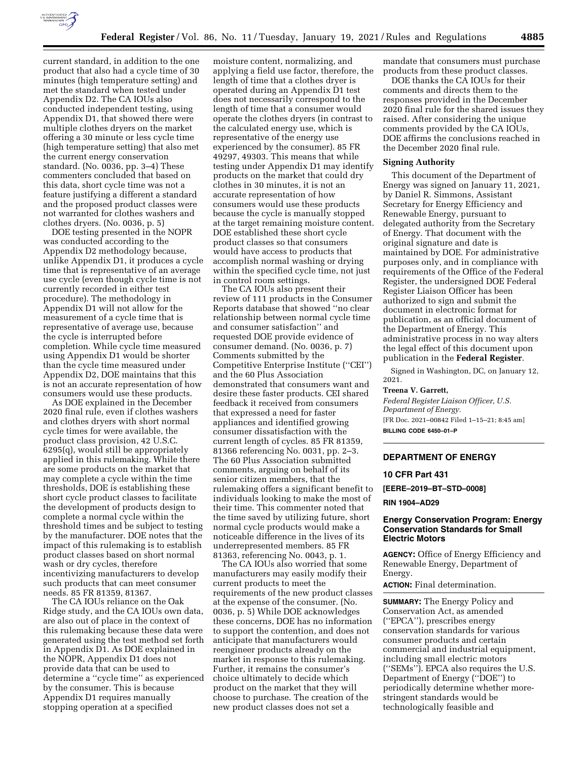

mandate that consumers must purchase

products from these product classes. DOE thanks the CA IOUs for their comments and directs them to the responses provided in the December 2020 final rule for the shared issues they raised. After considering the unique comments provided by the CA IOUs, DOE affirms the conclusions reached in the December 2020 final rule.

## **Signing Authority**

This document of the Department of Energy was signed on January 11, 2021, by Daniel R. Simmons, Assistant Secretary for Energy Efficiency and Renewable Energy, pursuant to delegated authority from the Secretary of Energy. That document with the original signature and date is maintained by DOE. For administrative purposes only, and in compliance with requirements of the Office of the Federal Register, the undersigned DOE Federal Register Liaison Officer has been authorized to sign and submit the document in electronic format for publication, as an official document of the Department of Energy. This administrative process in no way alters the legal effect of this document upon publication in the **Federal Register**.

Signed in Washington, DC, on January 12, 2021.

#### **Treena V. Garrett,**

*Federal Register Liaison Officer, U.S. Department of Energy.*  [FR Doc. 2021–00842 Filed 1–15–21; 8:45 am] **BILLING CODE 6450–01–P** 

## **DEPARTMENT OF ENERGY**

#### **10 CFR Part 431**

**[EERE–2019–BT–STD–0008]** 

**RIN 1904–AD29** 

## **Energy Conservation Program: Energy Conservation Standards for Small Electric Motors**

**AGENCY:** Office of Energy Efficiency and Renewable Energy, Department of Energy.

**ACTION:** Final determination.

**SUMMARY:** The Energy Policy and Conservation Act, as amended (''EPCA''), prescribes energy conservation standards for various consumer products and certain commercial and industrial equipment, including small electric motors (''SEMs''). EPCA also requires the U.S. Department of Energy (''DOE'') to periodically determine whether morestringent standards would be technologically feasible and

current standard, in addition to the one product that also had a cycle time of 30 minutes (high temperature setting) and met the standard when tested under Appendix D2. The CA IOUs also conducted independent testing, using Appendix D1, that showed there were multiple clothes dryers on the market offering a 30 minute or less cycle time (high temperature setting) that also met the current energy conservation standard. (No. 0036, pp. 3–4) These commenters concluded that based on this data, short cycle time was not a feature justifying a different a standard and the proposed product classes were not warranted for clothes washers and clothes dryers. (No. 0036, p. 5)

DOE testing presented in the NOPR was conducted according to the Appendix D2 methodology because, unlike Appendix D1, it produces a cycle time that is representative of an average use cycle (even though cycle time is not currently recorded in either test procedure). The methodology in Appendix D1 will not allow for the measurement of a cycle time that is representative of average use, because the cycle is interrupted before completion. While cycle time measured using Appendix D1 would be shorter than the cycle time measured under Appendix D2, DOE maintains that this is not an accurate representation of how consumers would use these products.

As DOE explained in the December 2020 final rule, even if clothes washers and clothes dryers with short normal cycle times for were available, the product class provision, 42 U.S.C. 6295(q), would still be appropriately applied in this rulemaking. While there are some products on the market that may complete a cycle within the time thresholds, DOE is establishing these short cycle product classes to facilitate the development of products design to complete a normal cycle within the threshold times and be subject to testing by the manufacturer. DOE notes that the impact of this rulemaking is to establish product classes based on short normal wash or dry cycles, therefore incentivizing manufacturers to develop such products that can meet consumer needs. 85 FR 81359, 81367.

The CA IOUs reliance on the Oak Ridge study, and the CA IOUs own data, are also out of place in the context of this rulemaking because these data were generated using the test method set forth in Appendix D1. As DOE explained in the NOPR, Appendix D1 does not provide data that can be used to determine a ''cycle time'' as experienced by the consumer. This is because Appendix D1 requires manually stopping operation at a specified

moisture content, normalizing, and applying a field use factor, therefore, the length of time that a clothes dryer is operated during an Appendix D1 test does not necessarily correspond to the length of time that a consumer would operate the clothes dryers (in contrast to the calculated energy use, which is representative of the energy use experienced by the consumer). 85 FR 49297, 49303. This means that while testing under Appendix D1 may identify products on the market that could dry clothes in 30 minutes, it is not an accurate representation of how consumers would use these products because the cycle is manually stopped at the target remaining moisture content. DOE established these short cycle product classes so that consumers would have access to products that accomplish normal washing or drying within the specified cycle time, not just in control room settings.

The CA IOUs also present their review of 111 products in the Consumer Reports database that showed ''no clear relationship between normal cycle time and consumer satisfaction'' and requested DOE provide evidence of consumer demand. (No. 0036, p. 7) Comments submitted by the Competitive Enterprise Institute (''CEI'') and the 60 Plus Association demonstrated that consumers want and desire these faster products. CEI shared feedback it received from consumers that expressed a need for faster appliances and identified growing consumer dissatisfaction with the current length of cycles. 85 FR 81359, 81366 referencing No. 0031, pp. 2–3. The 60 Plus Association submitted comments, arguing on behalf of its senior citizen members, that the rulemaking offers a significant benefit to individuals looking to make the most of their time. This commenter noted that the time saved by utilizing future, short normal cycle products would make a noticeable difference in the lives of its underrepresented members. 85 FR 81363, referencing No. 0043, p. 1.

The CA IOUs also worried that some manufacturers may easily modify their current products to meet the requirements of the new product classes at the expense of the consumer. (No. 0036, p. 5) While DOE acknowledges these concerns, DOE has no information to support the contention, and does not anticipate that manufacturers would reengineer products already on the market in response to this rulemaking. Further, it remains the consumer's choice ultimately to decide which product on the market that they will choose to purchase. The creation of the new product classes does not set a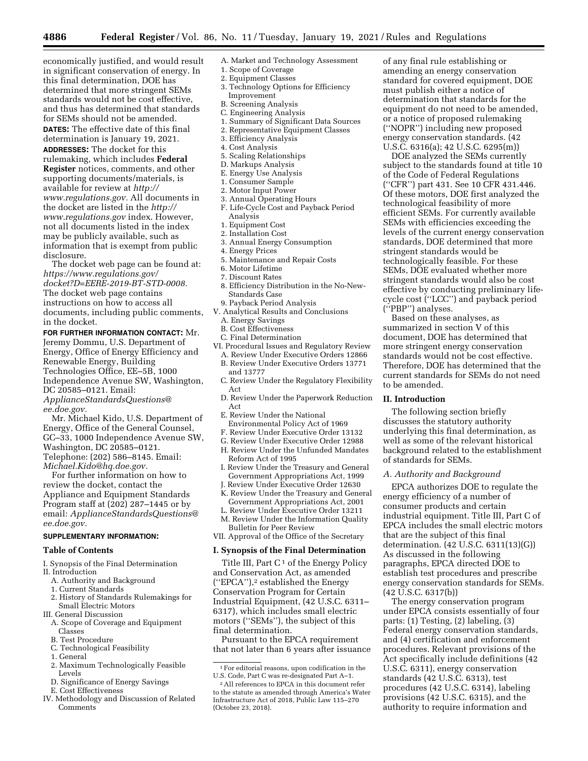**4886 Federal Register** / Vol. 86, No. 11 / Tuesday, January 19, 2021 / Rules and Regulations

economically justified, and would result in significant conservation of energy. In this final determination, DOE has determined that more stringent SEMs standards would not be cost effective, and thus has determined that standards for SEMs should not be amended. **DATES:** The effective date of this final determination is January 19, 2021. **ADDRESSES:** The docket for this rulemaking, which includes **Federal Register** notices, comments, and other supporting documents/materials, is available for review at *[http://](http://www.regulations.gov) [www.regulations.gov.](http://www.regulations.gov)* All documents in the docket are listed in the *[http://](http://www.regulations.gov) [www.regulations.gov](http://www.regulations.gov)* index. However, not all documents listed in the index

may be publicly available, such as information that is exempt from public disclosure. The docket web page can be found at:

*[https://www.regulations.gov/](https://www.regulations.gov/docket?D=EERE-2019-BT-STD-0008)  [docket?D=EERE-2019-BT-STD-0008.](https://www.regulations.gov/docket?D=EERE-2019-BT-STD-0008)*  The docket web page contains instructions on how to access all documents, including public comments, in the docket.

**FOR FURTHER INFORMATION CONTACT:** Mr. Jeremy Dommu, U.S. Department of Energy, Office of Energy Efficiency and Renewable Energy, Building Technologies Office, EE–5B, 1000 Independence Avenue SW, Washington, DC 20585–0121. Email: *[ApplianceStandardsQuestions@](mailto:ApplianceStandardsQuestions@ee.doe.gov)*

*[ee.doe.gov.](mailto:ApplianceStandardsQuestions@ee.doe.gov)*  Mr. Michael Kido, U.S. Department of Energy, Office of the General Counsel, GC–33, 1000 Independence Avenue SW, Washington, DC 20585–0121. Telephone: (202) 586–8145. Email: *[Michael.Kido@hq.doe.gov.](mailto:Michael.Kido@hq.doe.gov)* 

For further information on how to review the docket, contact the Appliance and Equipment Standards Program staff at (202) 287–1445 or by email: *[ApplianceStandardsQuestions@](mailto:ApplianceStandardsQuestions@ee.doe.gov) [ee.doe.gov.](mailto:ApplianceStandardsQuestions@ee.doe.gov)* 

#### **SUPPLEMENTARY INFORMATION:**

## **Table of Contents**

I. Synopsis of the Final Determination II. Introduction

- A. Authority and Background
- 1. Current Standards
- 2. History of Standards Rulemakings for Small Electric Motors
- III. General Discussion
- A. Scope of Coverage and Equipment Classes
- B. Test Procedure
- C. Technological Feasibility
- 1. General
- 2. Maximum Technologically Feasible Levels
- D. Significance of Energy Savings E. Cost Effectiveness
- 
- IV. Methodology and Discussion of Related **Comments**
- A. Market and Technology Assessment
	- 1. Scope of Coverage 2. Equipment Classes
	- 3. Technology Options for Efficiency Improvement
	- B. Screening Analysis
	-
	- C. Engineering Analysis 1. Summary of Significant Data Sources
	- 2. Representative Equipment Classes
	- 3. Efficiency Analysis
	- 4. Cost Analysis
	- 5. Scaling Relationships
	- D. Markups Analysis
	- E. Energy Use Analysis
	- 1. Consumer Sample
	- 2. Motor Input Power
	- 3. Annual Operating Hours
	- F. Life-Cycle Cost and Payback Period Analysis
	- 1. Equipment Cost
	- 2. Installation Cost
	- 3. Annual Energy Consumption
	- 4. Energy Prices
	- 5. Maintenance and Repair Costs
	- 6. Motor Lifetime
	- 7. Discount Rates
	- 8. Efficiency Distribution in the No-New-Standards Case
	- 9. Payback Period Analysis
- V. Analytical Results and Conclusions A. Energy Savings
	- B. Cost Effectiveness
- C. Final Determination
- VI. Procedural Issues and Regulatory Review
- A. Review Under Executive Orders 12866 B. Review Under Executive Orders 13771
- and 13777
- C. Review Under the Regulatory Flexibility Act
- D. Review Under the Paperwork Reduction Act
- E. Review Under the National
- Environmental Policy Act of 1969
- F. Review Under Executive Order 13132 G. Review Under Executive Order 12988
- H. Review Under the Unfunded Mandates
- Reform Act of 1995
- I. Review Under the Treasury and General Government Appropriations Act, 1999
- J. Review Under Executive Order 12630 K. Review Under the Treasury and General Government Appropriations Act, 2001
- L. Review Under Executive Order 13211
- M. Review Under the Information Quality
- Bulletin for Peer Review VII. Approval of the Office of the Secretary

# **I. Synopsis of the Final Determination**

Title III, Part  $C<sup>1</sup>$  of the Energy Policy and Conservation Act, as amended (''EPCA''),2 established the Energy Conservation Program for Certain Industrial Equipment, (42 U.S.C. 6311– 6317), which includes small electric motors (''SEMs''), the subject of this final determination.

Pursuant to the EPCA requirement that not later than 6 years after issuance

of any final rule establishing or amending an energy conservation standard for covered equipment, DOE must publish either a notice of determination that standards for the equipment do not need to be amended, or a notice of proposed rulemaking (''NOPR'') including new proposed energy conservation standards. (42 U.S.C. 6316(a); 42 U.S.C. 6295(m))

DOE analyzed the SEMs currently subject to the standards found at title 10 of the Code of Federal Regulations (''CFR'') part 431. See 10 CFR 431.446. Of these motors, DOE first analyzed the technological feasibility of more efficient SEMs. For currently available SEMs with efficiencies exceeding the levels of the current energy conservation standards, DOE determined that more stringent standards would be technologically feasible. For these SEMs, DOE evaluated whether more stringent standards would also be cost effective by conducting preliminary lifecycle cost (''LCC'') and payback period (''PBP'') analyses.

Based on these analyses, as summarized in section V of this document, DOE has determined that more stringent energy conservation standards would not be cost effective. Therefore, DOE has determined that the current standards for SEMs do not need to be amended.

#### **II. Introduction**

The following section briefly discusses the statutory authority underlying this final determination, as well as some of the relevant historical background related to the establishment of standards for SEMs.

#### *A. Authority and Background*

EPCA authorizes DOE to regulate the energy efficiency of a number of consumer products and certain industrial equipment. Title III, Part C of EPCA includes the small electric motors that are the subject of this final determination. (42 U.S.C. 6311(13)(G)) As discussed in the following paragraphs, EPCA directed DOE to establish test procedures and prescribe energy conservation standards for SEMs. (42 U.S.C. 6317(b))

The energy conservation program under EPCA consists essentially of four parts: (1) Testing, (2) labeling, (3) Federal energy conservation standards, and (4) certification and enforcement procedures. Relevant provisions of the Act specifically include definitions (42 U.S.C. 6311), energy conservation standards (42 U.S.C. 6313), test procedures (42 U.S.C. 6314), labeling provisions (42 U.S.C. 6315), and the authority to require information and

 $^{\rm 1}$  For editorial reasons, upon codification in the U.S. Code, Part C was re-designated Part A–1.

<sup>2</sup>All references to EPCA in this document refer to the statute as amended through America's Water Infrastructure Act of 2018, Public Law 115–270 (October 23, 2018).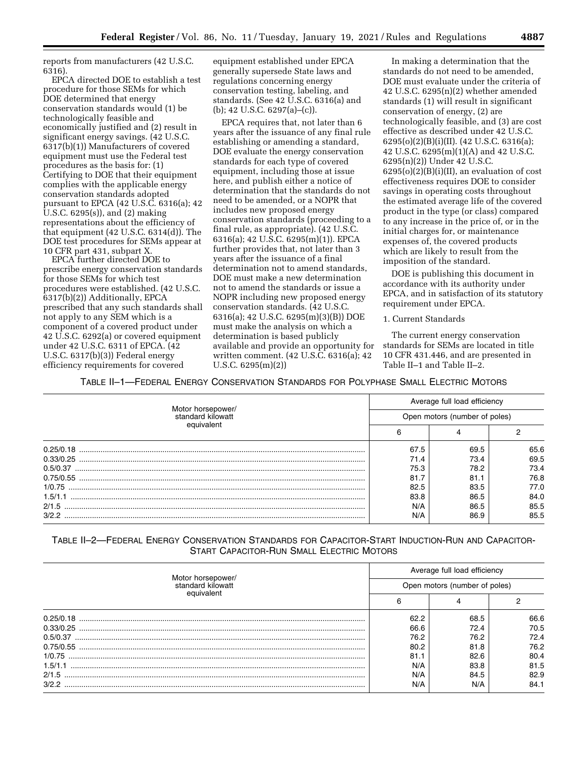reports from manufacturers (42 U.S.C. 6316).

EPCA directed DOE to establish a test procedure for those SEMs for which DOE determined that energy conservation standards would (1) be technologically feasible and economically justified and (2) result in significant energy savings. (42 U.S.C. 6317(b)(1)) Manufacturers of covered equipment must use the Federal test procedures as the basis for: (1) Certifying to DOE that their equipment complies with the applicable energy conservation standards adopted pursuant to EPCA (42 U.S.C. 6316(a); 42 U.S.C. 6295(s)), and (2) making representations about the efficiency of that equipment (42 U.S.C. 6314(d)). The DOE test procedures for SEMs appear at 10 CFR part 431, subpart X.

EPCA further directed DOE to prescribe energy conservation standards for those SEMs for which test procedures were established. (42 U.S.C. 6317(b)(2)) Additionally, EPCA prescribed that any such standards shall not apply to any SEM which is a component of a covered product under 42 U.S.C. 6292(a) or covered equipment under 42 U.S.C. 6311 of EPCA. (42 U.S.C. 6317(b)(3)) Federal energy efficiency requirements for covered

equipment established under EPCA generally supersede State laws and regulations concerning energy conservation testing, labeling, and standards. (See  $42 \overline{U}$ .S.C.  $63\overline{1}6$ (a) and (b); 42 U.S.C. 6297(a)–(c)).

EPCA requires that, not later than 6 years after the issuance of any final rule establishing or amending a standard, DOE evaluate the energy conservation standards for each type of covered equipment, including those at issue here, and publish either a notice of determination that the standards do not need to be amended, or a NOPR that includes new proposed energy conservation standards (proceeding to a final rule, as appropriate). (42 U.S.C. 6316(a); 42 U.S.C. 6295(m)(1)). EPCA further provides that, not later than 3 years after the issuance of a final determination not to amend standards, DOE must make a new determination not to amend the standards or issue a NOPR including new proposed energy conservation standards. (42 U.S.C. 6316(a); 42 U.S.C. 6295(m)(3)(B)) DOE must make the analysis on which a determination is based publicly available and provide an opportunity for written comment. (42 U.S.C. 6316(a); 42 U.S.C. 6295(m)(2))

In making a determination that the standards do not need to be amended, DOE must evaluate under the criteria of 42 U.S.C. 6295(n)(2) whether amended standards (1) will result in significant conservation of energy, (2) are technologically feasible, and (3) are cost effective as described under 42 U.S.C. 6295(o)(2)(B)(i)(II). (42 U.S.C. 6316(a); 42 U.S.C. 6295(m)(1)(A) and 42 U.S.C. 6295(n)(2)) Under 42 U.S.C.  $6295(o)(2)(B)(i)(II)$ , an evaluation of cost effectiveness requires DOE to consider savings in operating costs throughout the estimated average life of the covered product in the type (or class) compared to any increase in the price of, or in the initial charges for, or maintenance expenses of, the covered products which are likely to result from the imposition of the standard.

DOE is publishing this document in accordance with its authority under EPCA, and in satisfaction of its statutory requirement under EPCA.

#### 1. Current Standards

The current energy conservation standards for SEMs are located in title 10 CFR 431.446, and are presented in Table II–1 and Table II–2.

TABLE II–1—FEDERAL ENERGY CONSERVATION STANDARDS FOR POLYPHASE SMALL ELECTRIC MOTORS

|                                        |                               | Average full load efficiency |      |
|----------------------------------------|-------------------------------|------------------------------|------|
| Motor horsepower/<br>standard kilowatt | Open motors (number of poles) |                              |      |
| equivalent                             |                               |                              |      |
| 0.25/0.18                              | 67.5                          | 69.5                         | 65.6 |
|                                        | 71.4                          | 73.4                         | 69.5 |
|                                        | 75.3                          | 78.2                         | 73.4 |
|                                        | 81.7                          | 81.1                         | 76.8 |
|                                        | 82.5                          | 83.5                         | 77.0 |
| 1.5/1.1                                | 83.8                          | 86.5                         | 84.0 |
| 2/1.5                                  | N/A                           | 86.5                         | 85.5 |
| 3/2.2                                  | N/A                           | 86.9                         | 85.5 |

## TABLE II–2—FEDERAL ENERGY CONSERVATION STANDARDS FOR CAPACITOR-START INDUCTION-RUN AND CAPACITOR-START CAPACITOR-RUN SMALL ELECTRIC MOTORS

|                                        |                               | Average full load efficiency |      |
|----------------------------------------|-------------------------------|------------------------------|------|
| Motor horsepower/<br>standard kilowatt | Open motors (number of poles) |                              |      |
| equivalent                             |                               |                              |      |
| 0.25/0.18                              | 62.2                          | 68.5                         | 66.6 |
| 0.33/0.25                              | 66.6                          | 72.4                         | 70.5 |
|                                        | 76.2                          | 76.2                         | 72.4 |
|                                        | 80.2                          | 81.8                         | 76.2 |
|                                        | 81.1                          | 82.6                         | 80.4 |
| 1.5/1.1                                | N/A                           | 83.8                         | 81.5 |
| 2/1.5                                  | N/A                           | 84.5                         | 82.9 |
| 3/2.2                                  | N/A                           | N/A                          | 84.1 |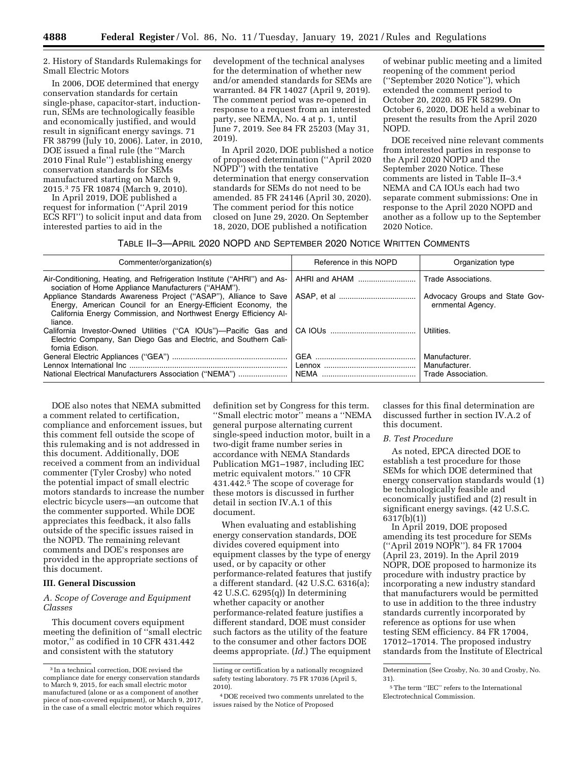2. History of Standards Rulemakings for Small Electric Motors

In 2006, DOE determined that energy conservation standards for certain single-phase, capacitor-start, inductionrun, SEMs are technologically feasible and economically justified, and would result in significant energy savings. 71 FR 38799 (July 10, 2006). Later, in 2010, DOE issued a final rule (the ''March 2010 Final Rule'') establishing energy conservation standards for SEMs manufactured starting on March 9, 2015.3 75 FR 10874 (March 9, 2010).

In April 2019, DOE published a request for information (''April 2019 ECS RFI'') to solicit input and data from interested parties to aid in the

development of the technical analyses for the determination of whether new and/or amended standards for SEMs are warranted. 84 FR 14027 (April 9, 2019). The comment period was re-opened in response to a request from an interested party, see NEMA, No. 4 at p. 1, until June 7, 2019. See 84 FR 25203 (May 31, 2019).

In April 2020, DOE published a notice of proposed determination (''April 2020 NOPD'') with the tentative determination that energy conservation standards for SEMs do not need to be amended. 85 FR 24146 (April 30, 2020). The comment period for this notice closed on June 29, 2020. On September 18, 2020, DOE published a notification

of webinar public meeting and a limited reopening of the comment period (''September 2020 Notice''), which extended the comment period to October 20, 2020. 85 FR 58299. On October 6, 2020, DOE held a webinar to present the results from the April 2020 NOPD.

DOE received nine relevant comments from interested parties in response to the April 2020 NOPD and the September 2020 Notice. These comments are listed in Table II–3.4 NEMA and CA IOUs each had two separate comment submissions: One in response to the April 2020 NOPD and another as a follow up to the September 2020 Notice.

## TABLE II–3—APRIL 2020 NOPD AND SEPTEMBER 2020 NOTICE WRITTEN COMMENTS

| Commenter/organization(s)                                                                                                                                                                                         | Reference in this NOPD | Organization type                                    |
|-------------------------------------------------------------------------------------------------------------------------------------------------------------------------------------------------------------------|------------------------|------------------------------------------------------|
| Air-Conditioning, Heating, and Refrigeration Institute ("AHRI") and As-<br>sociation of Home Appliance Manufacturers ("AHAM").                                                                                    | AHRI and AHAM          | Trade Associations.                                  |
| Appliance Standards Awareness Project ("ASAP"), Alliance to Save<br>Energy, American Council for an Energy-Efficient Economy, the<br>California Energy Commission, and Northwest Energy Efficiency Al-<br>liance. |                        | Advocacy Groups and State Gov-<br>ernmental Agency.  |
| California Investor-Owned Utilities ("CA IOUs")-Pacific Gas and<br>Electric Company, San Diego Gas and Electric, and Southern Cali-<br>fornia Edison.                                                             |                        | Utilities.                                           |
| National Electrical Manufacturers Association ("NEMA")                                                                                                                                                            | NEMA                   | Manufacturer.<br>Manufacturer.<br>Trade Association. |

DOE also notes that NEMA submitted a comment related to certification, compliance and enforcement issues, but this comment fell outside the scope of this rulemaking and is not addressed in this document. Additionally, DOE received a comment from an individual commenter (Tyler Crosby) who noted the potential impact of small electric motors standards to increase the number electric bicycle users—an outcome that the commenter supported. While DOE appreciates this feedback, it also falls outside of the specific issues raised in the NOPD. The remaining relevant comments and DOE's responses are provided in the appropriate sections of this document.

## **III. General Discussion**

*A. Scope of Coverage and Equipment Classes* 

This document covers equipment meeting the definition of ''small electric motor,'' as codified in 10 CFR 431.442 and consistent with the statutory

definition set by Congress for this term. ''Small electric motor'' means a ''NEMA general purpose alternating current single-speed induction motor, built in a two-digit frame number series in accordance with NEMA Standards Publication MG1–1987, including IEC metric equivalent motors.'' 10 CFR 431.442.5 The scope of coverage for these motors is discussed in further detail in section IV.A.1 of this document.

When evaluating and establishing energy conservation standards, DOE divides covered equipment into equipment classes by the type of energy used, or by capacity or other performance-related features that justify a different standard. (42 U.S.C. 6316(a); 42 U.S.C. 6295(q)) In determining whether capacity or another performance-related feature justifies a different standard, DOE must consider such factors as the utility of the feature to the consumer and other factors DOE deems appropriate. (*Id.*) The equipment classes for this final determination are discussed further in section IV.A.2 of this document.

#### *B. Test Procedure*

As noted, EPCA directed DOE to establish a test procedure for those SEMs for which DOE determined that energy conservation standards would (1) be technologically feasible and economically justified and (2) result in significant energy savings. (42 U.S.C. 6317(b)(1))

In April 2019, DOE proposed amending its test procedure for SEMs (''April 2019 NOPR''). 84 FR 17004 (April 23, 2019). In the April 2019 NOPR, DOE proposed to harmonize its procedure with industry practice by incorporating a new industry standard that manufacturers would be permitted to use in addition to the three industry standards currently incorporated by reference as options for use when testing SEM efficiency. 84 FR 17004, 17012–17014. The proposed industry standards from the Institute of Electrical

<sup>3</sup> In a technical correction, DOE revised the compliance date for energy conservation standards to March 9, 2015, for each small electric motor manufactured (alone or as a component of another piece of non-covered equipment), or March 9, 2017, in the case of a small electric motor which requires

listing or certification by a nationally recognized safety testing laboratory. 75 FR 17036 (April 5, 2010).

<sup>4</sup> DOE received two comments unrelated to the issues raised by the Notice of Proposed

Determination (See Crosby, No. 30 and Crosby, No. 31).

<sup>5</sup>The term ''IEC'' refers to the International Electrotechnical Commission.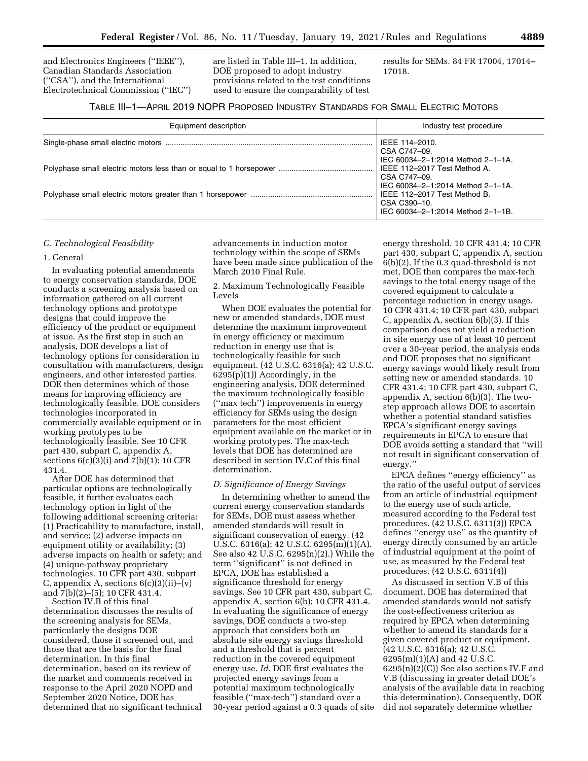and Electronics Engineers (''IEEE''), Canadian Standards Association (''CSA''), and the International Electrotechnical Commission (''IEC'') are listed in Table III–1. In addition, DOE proposed to adopt industry provisions related to the test conditions used to ensure the comparability of test

results for SEMs. 84 FR 17004, 17014– 17018.

## TABLE III–1—APRIL 2019 NOPR PROPOSED INDUSTRY STANDARDS FOR SMALL ELECTRIC MOTORS

| Equipment description | Industry test procedure                                                           |
|-----------------------|-----------------------------------------------------------------------------------|
|                       | IEEE 114-2010.<br>CSA C747-09.                                                    |
|                       | IEC 60034-2-1:2014 Method 2-1-1A.<br>IEEE 112-2017 Test Method A.<br>CSA C747-09. |
|                       | IEC 60034-2-1:2014 Method 2-1-1A.<br>IEEE 112-2017 Test Method B.<br>CSA C390-10. |
|                       | IEC 60034-2-1:2014 Method 2-1-1B.                                                 |

#### *C. Technological Feasibility*

#### 1. General

In evaluating potential amendments to energy conservation standards, DOE conducts a screening analysis based on information gathered on all current technology options and prototype designs that could improve the efficiency of the product or equipment at issue. As the first step in such an analysis, DOE develops a list of technology options for consideration in consultation with manufacturers, design engineers, and other interested parties. DOE then determines which of those means for improving efficiency are technologically feasible. DOE considers technologies incorporated in commercially available equipment or in working prototypes to be technologically feasible. See 10 CFR part 430, subpart C, appendix A, sections 6(c)(3)(i) and 7(b)(1); 10 CFR 431.4.

After DOE has determined that particular options are technologically feasible, it further evaluates each technology option in light of the following additional screening criteria: (1) Practicability to manufacture, install, and service; (2) adverse impacts on equipment utility or availability; (3) adverse impacts on health or safety; and (4) unique-pathway proprietary technologies. 10 CFR part 430, subpart C, appendix A, sections  $6(c)(3)(ii)$ –(v) and 7(b)(2)–(5); 10 CFR 431.4.

Section IV.B of this final determination discusses the results of the screening analysis for SEMs, particularly the designs DOE considered, those it screened out, and those that are the basis for the final determination. In this final determination, based on its review of the market and comments received in response to the April 2020 NOPD and September 2020 Notice, DOE has determined that no significant technical advancements in induction motor technology within the scope of SEMs have been made since publication of the March 2010 Final Rule.

2. Maximum Technologically Feasible Levels

When DOE evaluates the potential for new or amended standards, DOE must determine the maximum improvement in energy efficiency or maximum reduction in energy use that is technologically feasible for such equipment. (42 U.S.C. 6316(a); 42 U.S.C. 6295(p)(1)) Accordingly, in the engineering analysis, DOE determined the maximum technologically feasible (''max tech'') improvements in energy efficiency for SEMs using the design parameters for the most efficient equipment available on the market or in working prototypes. The max-tech levels that DOE has determined are described in section IV.C of this final determination.

#### *D. Significance of Energy Savings*

In determining whether to amend the current energy conservation standards for SEMs, DOE must assess whether amended standards will result in significant conservation of energy. (42 U.S.C. 6316(a); 42 U.S.C. 6295(m)(1)(A). See also 42 U.S.C. 6295(n)(2).) While the term ''significant'' is not defined in EPCA, DOE has established a significance threshold for energy savings. See 10 CFR part 430, subpart C, appendix A, section 6(b); 10 CFR 431.4. In evaluating the significance of energy savings, DOE conducts a two-step approach that considers both an absolute site energy savings threshold and a threshold that is percent reduction in the covered equipment energy use. *Id.* DOE first evaluates the projected energy savings from a potential maximum technologically feasible (''max-tech'') standard over a 30-year period against a 0.3 quads of site

energy threshold. 10 CFR 431.4; 10 CFR part 430, subpart C, appendix A, section 6(b)(2). If the 0.3 quad-threshold is not met, DOE then compares the max-tech savings to the total energy usage of the covered equipment to calculate a percentage reduction in energy usage. 10 CFR 431.4; 10 CFR part 430, subpart C, appendix A, section 6(b)(3). If this comparison does not yield a reduction in site energy use of at least 10 percent over a 30-year period, the analysis ends and DOE proposes that no significant energy savings would likely result from setting new or amended standards. 10 CFR 431.4; 10 CFR part 430, subpart C, appendix A, section 6(b)(3). The twostep approach allows DOE to ascertain whether a potential standard satisfies EPCA's significant energy savings requirements in EPCA to ensure that DOE avoids setting a standard that ''will not result in significant conservation of energy.''

EPCA defines ''energy efficiency'' as the ratio of the useful output of services from an article of industrial equipment to the energy use of such article, measured according to the Federal test procedures. (42 U.S.C. 6311(3)) EPCA defines ''energy use'' as the quantity of energy directly consumed by an article of industrial equipment at the point of use, as measured by the Federal test procedures. (42 U.S.C. 6311(4))

As discussed in section V.B of this document, DOE has determined that amended standards would not satisfy the cost-effectiveness criterion as required by EPCA when determining whether to amend its standards for a given covered product or equipment. (42 U.S.C. 6316(a); 42 U.S.C. 6295(m)(1)(A) and 42 U.S.C. 6295(n)(2)(C)) See also sections IV.F and V.B (discussing in greater detail DOE's analysis of the available data in reaching this determination). Consequently, DOE did not separately determine whether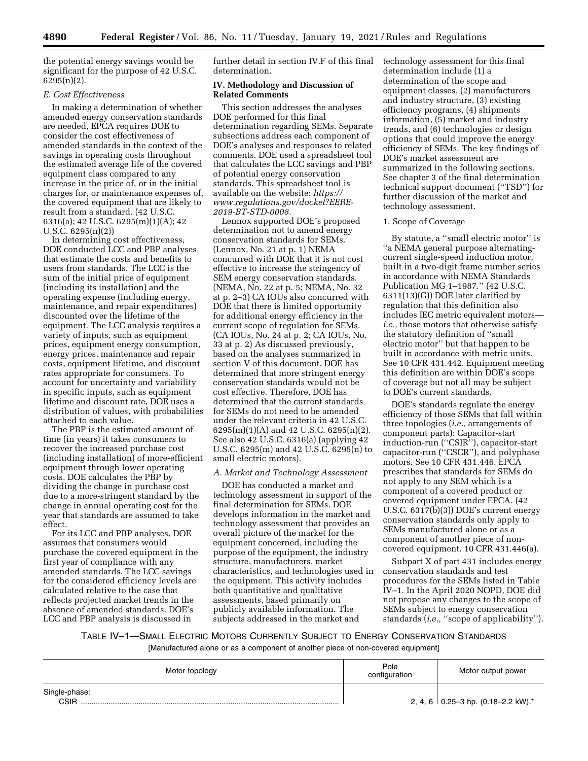the potential energy savings would be significant for the purpose of 42 U.S.C. 6295(n)(2).

## *E. Cost Effectiveness*

In making a determination of whether amended energy conservation standards are needed, EPCA requires DOE to consider the cost effectiveness of amended standards in the context of the savings in operating costs throughout the estimated average life of the covered equipment class compared to any increase in the price of, or in the initial charges for, or maintenance expenses of, the covered equipment that are likely to result from a standard. (42 U.S.C. 6316(a); 42 U.S.C. 6295(m)(1)(A); 42 U.S.C. 6295(n)(2))

In determining cost effectiveness, DOE conducted LCC and PBP analyses that estimate the costs and benefits to users from standards. The LCC is the sum of the initial price of equipment (including its installation) and the operating expense (including energy, maintenance, and repair expenditures) discounted over the lifetime of the equipment. The LCC analysis requires a variety of inputs, such as equipment prices, equipment energy consumption, energy prices, maintenance and repair costs, equipment lifetime, and discount rates appropriate for consumers. To account for uncertainty and variability in specific inputs, such as equipment lifetime and discount rate, DOE uses a distribution of values, with probabilities attached to each value.

The PBP is the estimated amount of time (in years) it takes consumers to recover the increased purchase cost (including installation) of more-efficient equipment through lower operating costs. DOE calculates the PBP by dividing the change in purchase cost due to a more-stringent standard by the change in annual operating cost for the year that standards are assumed to take effect.

For its LCC and PBP analyses, DOE assumes that consumers would purchase the covered equipment in the first year of compliance with any amended standards. The LCC savings for the considered efficiency levels are calculated relative to the case that reflects projected market trends in the absence of amended standards. DOE's LCC and PBP analysis is discussed in

further detail in section IV.F of this final determination.

#### **IV. Methodology and Discussion of Related Comments**

This section addresses the analyses DOE performed for this final determination regarding SEMs. Separate subsections address each component of DOE's analyses and responses to related comments. DOE used a spreadsheet tool that calculates the LCC savings and PBP of potential energy conservation standards. This spreadsheet tool is available on the website: *[https://](https://www.regulations.gov/docket?EERE-2019-BT-STD-0008) [www.regulations.gov/docket?EERE-](https://www.regulations.gov/docket?EERE-2019-BT-STD-0008)[2019-BT-STD-0008.](https://www.regulations.gov/docket?EERE-2019-BT-STD-0008)* 

Lennox supported DOE's proposed determination not to amend energy conservation standards for SEMs. (Lennox, No. 21 at p. 1) NEMA concurred with DOE that it is not cost effective to increase the stringency of SEM energy conservation standards. (NEMA, No. 22 at p. 5; NEMA, No. 32 at p. 2–3) CA IOUs also concurred with DOE that there is limited opportunity for additional energy efficiency in the current scope of regulation for SEMs. (CA IOUs, No. 24 at p. 2; CA IOUs, No. 33 at p. 2) As discussed previously, based on the analyses summarized in section V of this document, DOE has determined that more stringent energy conservation standards would not be cost effective. Therefore, DOE has determined that the current standards for SEMs do not need to be amended under the relevant criteria in 42 U.S.C. 6295(m)(1)(A) and 42 U.S.C. 6295(n)(2). See also 42 U.S.C. 6316(a) (applying 42 U.S.C. 6295(m) and 42 U.S.C. 6295(n) to small electric motors).

## *A. Market and Technology Assessment*

DOE has conducted a market and technology assessment in support of the final determination for SEMs. DOE develops information in the market and technology assessment that provides an overall picture of the market for the equipment concerned, including the purpose of the equipment, the industry structure, manufacturers, market characteristics, and technologies used in the equipment. This activity includes both quantitative and qualitative assessments, based primarily on publicly available information. The subjects addressed in the market and

technology assessment for this final determination include (1) a determination of the scope and equipment classes, (2) manufacturers and industry structure, (3) existing efficiency programs, (4) shipments information, (5) market and industry trends, and (6) technologies or design options that could improve the energy efficiency of SEMs. The key findings of DOE's market assessment are summarized in the following sections. See chapter 3 of the final determination technical support document (''TSD'') for further discussion of the market and technology assessment.

#### 1. Scope of Coverage

By statute, a ''small electric motor'' is ''a NEMA general purpose alternatingcurrent single-speed induction motor, built in a two-digit frame number series in accordance with NEMA Standards Publication MG 1–1987.'' (42 U.S.C. 6311(13)(G)) DOE later clarified by regulation that this definition also includes IEC metric equivalent motors *i.e.,* those motors that otherwise satisfy the statutory definition of ''small electric motor'' but that happen to be built in accordance with metric units. See 10 CFR 431.442. Equipment meeting this definition are within DOE's scope of coverage but not all may be subject to DOE's current standards.

DOE's standards regulate the energy efficiency of those SEMs that fall within three topologies (*i.e.,* arrangements of component parts): Capacitor-start induction-run (''CSIR''), capacitor-start capacitor-run (''CSCR''), and polyphase motors. See 10 CFR 431.446. EPCA prescribes that standards for SEMs do not apply to any SEM which is a component of a covered product or covered equipment under EPCA. (42 U.S.C. 6317(b)(3)) DOE's current energy conservation standards only apply to SEMs manufactured alone or as a component of another piece of noncovered equipment. 10 CFR 431.446(a).

Subpart X of part 431 includes energy conservation standards and test procedures for the SEMs listed in Table IV–1. In the April 2020 NOPD, DOE did not propose any changes to the scope of SEMs subject to energy conservation standards (*i.e.*, "scope of applicability").

TABLE IV–1—SMALL ELECTRIC MOTORS CURRENTLY SUBJECT TO ENERGY CONSERVATION STANDARDS

[Manufactured alone or as a component of another piece of non-covered equipment]

| Motor topology        | Pole<br>configuration | Motor output power                            |
|-----------------------|-----------------------|-----------------------------------------------|
| Single-phase:<br>CSIR |                       | 2, 4, 6 0.25–3 hp. $(0.18–2.2 \text{ kW})$ .* |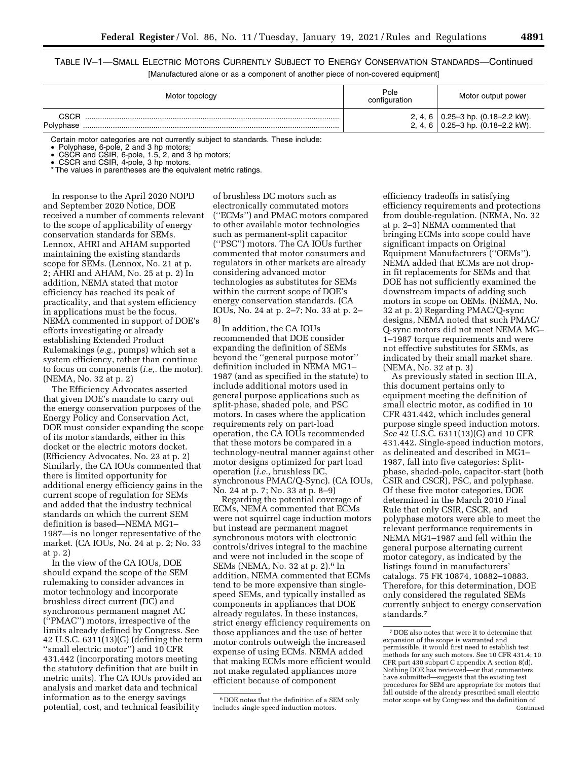TABLE IV–1—SMALL ELECTRIC MOTORS CURRENTLY SUBJECT TO ENERGY CONSERVATION STANDARDS—Continued [Manufactured alone or as a component of another piece of non-covered equipment]

| Motor topology | Pole<br>configuration | Motor output power                                                                  |
|----------------|-----------------------|-------------------------------------------------------------------------------------|
| <b>CSCR</b>    |                       | 2, 4, 6   0.25–3 hp. $(0.18-2.2 \text{ kW})$ .<br>2, 4, 6 0.25-3 hp. (0.18-2.2 kW). |

Certain motor categories are not currently subject to standards. These include:

• Polyphase, 6-pole, 2 and 3 hp motors;

• CSCR and CSIR, 6-pole, 1.5, 2, and 3 hp motors;

• CSCR and CSIR, 4-pole, 3 hp motors.

\* The values in parentheses are the equivalent metric ratings.

In response to the April 2020 NOPD and September 2020 Notice, DOE received a number of comments relevant to the scope of applicability of energy conservation standards for SEMs. Lennox, AHRI and AHAM supported maintaining the existing standards scope for SEMs. (Lennox, No. 21 at p. 2; AHRI and AHAM, No. 25 at p. 2) In addition, NEMA stated that motor efficiency has reached its peak of practicality, and that system efficiency in applications must be the focus. NEMA commented in support of DOE's efforts investigating or already establishing Extended Product Rulemakings (*e.g.,* pumps) which set a system efficiency, rather than continue to focus on components (*i.e,.* the motor). (NEMA, No. 32 at p. 2)

The Efficiency Advocates asserted that given DOE's mandate to carry out the energy conservation purposes of the Energy Policy and Conservation Act, DOE must consider expanding the scope of its motor standards, either in this docket or the electric motors docket. (Efficiency Advocates, No. 23 at p. 2) Similarly, the CA IOUs commented that there is limited opportunity for additional energy efficiency gains in the current scope of regulation for SEMs and added that the industry technical standards on which the current SEM definition is based—NEMA MG1– 1987—is no longer representative of the market. (CA IOUs, No. 24 at p. 2; No. 33 at p. 2)

In the view of the CA IOUs, DOE should expand the scope of the SEM rulemaking to consider advances in motor technology and incorporate brushless direct current (DC) and synchronous permanent magnet AC (''PMAC'') motors, irrespective of the limits already defined by Congress. See 42 U.S.C. 6311(13)(G) (defining the term ''small electric motor'') and 10 CFR 431.442 (incorporating motors meeting the statutory definition that are built in metric units). The CA IOUs provided an analysis and market data and technical information as to the energy savings potential, cost, and technical feasibility

of brushless DC motors such as electronically commutated motors (''ECMs'') and PMAC motors compared to other available motor technologies such as permanent-split capacitor (''PSC'') motors. The CA IOUs further commented that motor consumers and regulators in other markets are already considering advanced motor technologies as substitutes for SEMs within the current scope of DOE's energy conservation standards. (CA IOUs, No. 24 at p. 2–7; No. 33 at p. 2– 8)

In addition, the CA IOUs recommended that DOE consider expanding the definition of SEMs beyond the ''general purpose motor'' definition included in NEMA MG1– 1987 (and as specified in the statute) to include additional motors used in general purpose applications such as split-phase, shaded pole, and PSC motors. In cases where the application requirements rely on part-load operation, the CA IOUs recommended that these motors be compared in a technology-neutral manner against other motor designs optimized for part load operation (*i.e.,* brushless DC, synchronous PMAC/Q-Sync). (CA IOUs, No. 24 at p. 7; No. 33 at p. 8–9)

Regarding the potential coverage of ECMs, NEMA commented that ECMs were not squirrel cage induction motors but instead are permanent magnet synchronous motors with electronic controls/drives integral to the machine and were not included in the scope of SEMs (NEMA, No. 32 at p. 2).6 In addition, NEMA commented that ECMs tend to be more expensive than singlespeed SEMs, and typically installed as components in appliances that DOE already regulates. In these instances, strict energy efficiency requirements on those appliances and the use of better motor controls outweigh the increased expense of using ECMs. NEMA added that making ECMs more efficient would not make regulated appliances more efficient because of component

6 DOE notes that the definition of a SEM only includes single speed induction motors.

efficiency tradeoffs in satisfying efficiency requirements and protections from double-regulation. (NEMA, No. 32 at p. 2–3) NEMA commented that bringing ECMs into scope could have significant impacts on Original Equipment Manufacturers (''OEMs''). NEMA added that ECMs are not dropin fit replacements for SEMs and that DOE has not sufficiently examined the downstream impacts of adding such motors in scope on OEMs. (NEMA, No. 32 at p. 2) Regarding PMAC/Q-sync designs, NEMA noted that such PMAC/ Q-sync motors did not meet NEMA MG– 1–1987 torque requirements and were not effective substitutes for SEMs, as indicated by their small market share. (NEMA, No. 32 at p. 3)

As previously stated in section III.A, this document pertains only to equipment meeting the definition of small electric motor, as codified in 10 CFR 431.442, which includes general purpose single speed induction motors. *See* 42 U.S.C. 6311(13)(G) and 10 CFR 431.442. Single-speed induction motors, as delineated and described in MG1– 1987, fall into five categories: Splitphase, shaded-pole, capacitor-start (both CSIR and CSCR), PSC, and polyphase. Of these five motor categories, DOE determined in the March 2010 Final Rule that only CSIR, CSCR, and polyphase motors were able to meet the relevant performance requirements in NEMA MG1–1987 and fell within the general purpose alternating current motor category, as indicated by the listings found in manufacturers' catalogs. 75 FR 10874, 10882–10883. Therefore, for this determination, DOE only considered the regulated SEMs currently subject to energy conservation standards.7

<sup>7</sup> DOE also notes that were it to determine that expansion of the scope is warranted and permissible, it would first need to establish test methods for any such motors. See 10 CFR 431.4; 10 CFR part 430 subpart C appendix A section 8(d). Nothing DOE has reviewed—or that commenters have submitted—suggests that the existing test procedures for SEM are appropriate for motors that fall outside of the already prescribed small electric motor scope set by Congress and the definition of Continued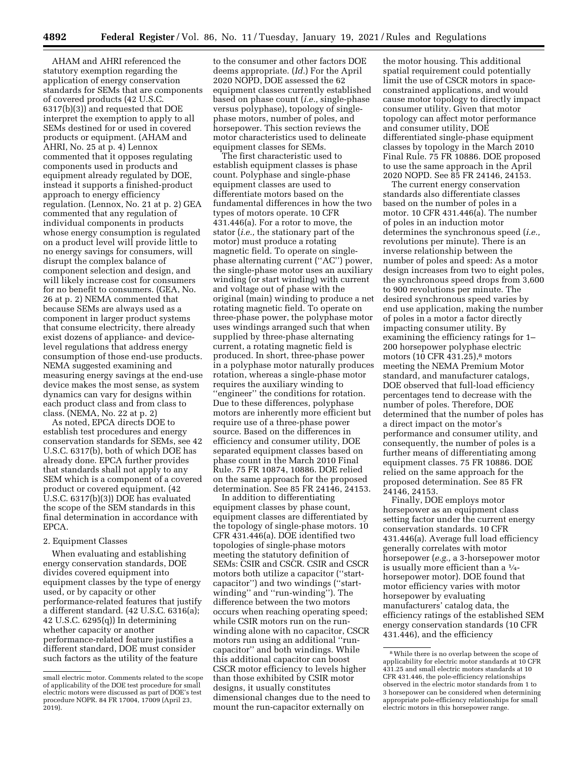AHAM and AHRI referenced the statutory exemption regarding the application of energy conservation standards for SEMs that are components of covered products (42 U.S.C. 6317(b)(3)) and requested that DOE interpret the exemption to apply to all SEMs destined for or used in covered products or equipment. (AHAM and AHRI, No. 25 at p. 4) Lennox commented that it opposes regulating components used in products and equipment already regulated by DOE, instead it supports a finished-product approach to energy efficiency regulation. (Lennox, No. 21 at p. 2) GEA commented that any regulation of individual components in products whose energy consumption is regulated on a product level will provide little to no energy savings for consumers, will disrupt the complex balance of component selection and design, and will likely increase cost for consumers for no benefit to consumers. (GEA, No. 26 at p. 2) NEMA commented that because SEMs are always used as a component in larger product systems that consume electricity, there already exist dozens of appliance- and devicelevel regulations that address energy consumption of those end-use products. NEMA suggested examining and measuring energy savings at the end-use device makes the most sense, as system dynamics can vary for designs within each product class and from class to class. (NEMA, No. 22 at p. 2)

As noted, EPCA directs DOE to establish test procedures and energy conservation standards for SEMs, see 42 U.S.C. 6317(b), both of which DOE has already done. EPCA further provides that standards shall not apply to any SEM which is a component of a covered product or covered equipment. (42 U.S.C. 6317(b)(3)) DOE has evaluated the scope of the SEM standards in this final determination in accordance with EPCA.

## 2. Equipment Classes

When evaluating and establishing energy conservation standards, DOE divides covered equipment into equipment classes by the type of energy used, or by capacity or other performance-related features that justify a different standard. (42 U.S.C. 6316(a); 42 U.S.C. 6295(q)) In determining whether capacity or another performance-related feature justifies a different standard, DOE must consider such factors as the utility of the feature

to the consumer and other factors DOE deems appropriate. (*Id.*) For the April 2020 NOPD, DOE assessed the 62 equipment classes currently established based on phase count (*i.e.,* single-phase versus polyphase), topology of singlephase motors, number of poles, and horsepower. This section reviews the motor characteristics used to delineate equipment classes for SEMs.

The first characteristic used to establish equipment classes is phase count. Polyphase and single-phase equipment classes are used to differentiate motors based on the fundamental differences in how the two types of motors operate. 10 CFR 431.446(a). For a rotor to move, the stator (*i.e.,* the stationary part of the motor) must produce a rotating magnetic field. To operate on singlephase alternating current (''AC'') power, the single-phase motor uses an auxiliary winding (or start winding) with current and voltage out of phase with the original (main) winding to produce a net rotating magnetic field. To operate on three-phase power, the polyphase motor uses windings arranged such that when supplied by three-phase alternating current, a rotating magnetic field is produced. In short, three-phase power in a polyphase motor naturally produces rotation, whereas a single-phase motor requires the auxiliary winding to ''engineer'' the conditions for rotation. Due to these differences, polyphase motors are inherently more efficient but require use of a three-phase power source. Based on the differences in efficiency and consumer utility, DOE separated equipment classes based on phase count in the March 2010 Final Rule. 75 FR 10874, 10886. DOE relied on the same approach for the proposed determination. See 85 FR 24146, 24153.

In addition to differentiating equipment classes by phase count, equipment classes are differentiated by the topology of single-phase motors. 10 CFR 431.446(a). DOE identified two topologies of single-phase motors meeting the statutory definition of SEMs: CSIR and CSCR. CSIR and CSCR motors both utilize a capacitor (''startcapacitor'') and two windings (''startwinding'' and ''run-winding''). The difference between the two motors occurs when reaching operating speed; while CSIR motors run on the runwinding alone with no capacitor, CSCR motors run using an additional ''runcapacitor'' and both windings. While this additional capacitor can boost CSCR motor efficiency to levels higher than those exhibited by CSIR motor designs, it usually constitutes dimensional changes due to the need to mount the run-capacitor externally on

the motor housing. This additional spatial requirement could potentially limit the use of CSCR motors in spaceconstrained applications, and would cause motor topology to directly impact consumer utility. Given that motor topology can affect motor performance and consumer utility, DOE differentiated single-phase equipment classes by topology in the March 2010 Final Rule. 75 FR 10886. DOE proposed to use the same approach in the April 2020 NOPD. See 85 FR 24146, 24153.

The current energy conservation standards also differentiate classes based on the number of poles in a motor. 10 CFR 431.446(a). The number of poles in an induction motor determines the synchronous speed (*i.e.,*  revolutions per minute). There is an inverse relationship between the number of poles and speed: As a motor design increases from two to eight poles, the synchronous speed drops from 3,600 to 900 revolutions per minute. The desired synchronous speed varies by end use application, making the number of poles in a motor a factor directly impacting consumer utility. By examining the efficiency ratings for 1– 200 horsepower polyphase electric motors (10 CFR 431.25),<sup>8</sup> motors meeting the NEMA Premium Motor standard, and manufacturer catalogs, DOE observed that full-load efficiency percentages tend to decrease with the number of poles. Therefore, DOE determined that the number of poles has a direct impact on the motor's performance and consumer utility, and consequently, the number of poles is a further means of differentiating among equipment classes. 75 FR 10886. DOE relied on the same approach for the proposed determination. See 85 FR 24146, 24153.

Finally, DOE employs motor horsepower as an equipment class setting factor under the current energy conservation standards. 10 CFR 431.446(a). Average full load efficiency generally correlates with motor horsepower (*e.g.,* a 3-horsepower motor is usually more efficient than a  $\frac{1}{4}$ horsepower motor). DOE found that motor efficiency varies with motor horsepower by evaluating manufacturers' catalog data, the efficiency ratings of the established SEM energy conservation standards (10 CFR 431.446), and the efficiency

small electric motor. Comments related to the scope of applicability of the DOE test procedure for small electric motors were discussed as part of DOE's test procedure NOPR. 84 FR 17004, 17009 (April 23,  $2019$ ).

<sup>8</sup>While there is no overlap between the scope of applicability for electric motor standards at 10 CFR 431.25 and small electric motors standards at 10 CFR 431.446, the pole-efficiency relationships observed in the electric motor standards from 1 to 3 horsepower can be considered when determining appropriate pole-efficiency relationships for small electric motors in this horsepower range.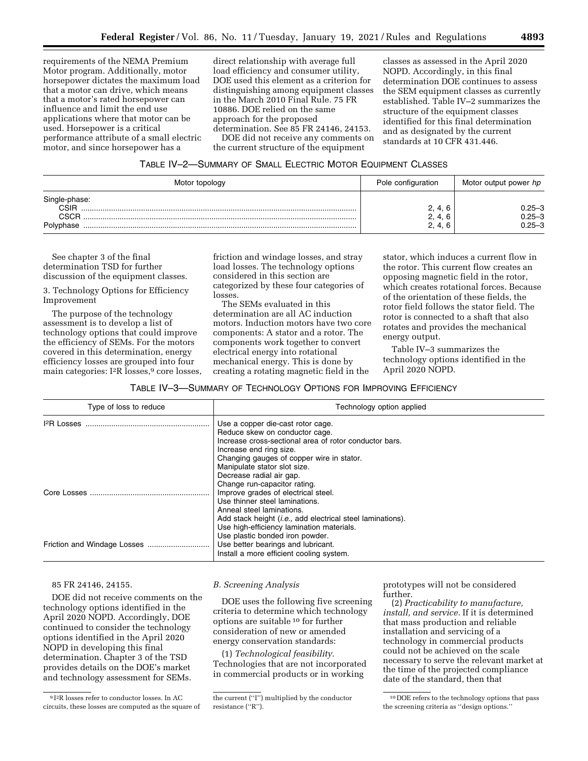requirements of the NEMA Premium Motor program. Additionally, motor horsepower dictates the maximum load that a motor can drive, which means that a motor's rated horsepower can influence and limit the end use applications where that motor can be used. Horsepower is a critical performance attribute of a small electric motor, and since horsepower has a

direct relationship with average full load efficiency and consumer utility, DOE used this element as a criterion for distinguishing among equipment classes in the March 2010 Final Rule. 75 FR 10886. DOE relied on the same approach for the proposed determination. See 85 FR 24146, 24153.

DOE did not receive any comments on the current structure of the equipment

classes as assessed in the April 2020 NOPD. Accordingly, in this final determination DOE continues to assess the SEM equipment classes as currently established. Table IV–2 summarizes the structure of the equipment classes identified for this final determination and as designated by the current standards at 10 CFR 431.446.

| TABLE IV-2-SUMMARY OF SMALL ELECTRIC MOTOR EQUIPMENT CLASSES |  |
|--------------------------------------------------------------|--|
|--------------------------------------------------------------|--|

| Motor topology                | Pole configuration            | Motor output power hp                  |  |
|-------------------------------|-------------------------------|----------------------------------------|--|
| Single-phase:<br>CSIR<br>CSCR | 2, 4, 6<br>2, 4, 6<br>2, 4, 6 | $0.25 - 3$<br>$0.25 - 3$<br>$0.25 - 3$ |  |

See chapter 3 of the final determination TSD for further discussion of the equipment classes.

3. Technology Options for Efficiency Improvement

The purpose of the technology assessment is to develop a list of technology options that could improve the efficiency of SEMs. For the motors covered in this determination, energy efficiency losses are grouped into four main categories: I<sup>2</sup>R losses,<sup>9</sup> core losses, friction and windage losses, and stray load losses. The technology options considered in this section are categorized by these four categories of losses.

The SEMs evaluated in this determination are all AC induction motors. Induction motors have two core components: A stator and a rotor. The components work together to convert electrical energy into rotational mechanical energy. This is done by creating a rotating magnetic field in the

stator, which induces a current flow in the rotor. This current flow creates an opposing magnetic field in the rotor, which creates rotational forces. Because of the orientation of these fields, the rotor field follows the stator field. The rotor is connected to a shaft that also rotates and provides the mechanical energy output.

Table IV–3 summarizes the technology options identified in the April 2020 NOPD.

#### TABLE IV–3—SUMMARY OF TECHNOLOGY OPTIONS FOR IMPROVING EFFICIENCY

| Type of loss to reduce | Technology option applied                                                      |
|------------------------|--------------------------------------------------------------------------------|
|                        | Use a copper die-cast rotor cage.<br>Reduce skew on conductor cage.            |
|                        | Increase cross-sectional area of rotor conductor bars.                         |
|                        | Increase end ring size.<br>Changing gauges of copper wire in stator.           |
|                        | Manipulate stator slot size.                                                   |
|                        | Decrease radial air gap.                                                       |
|                        | Change run-capacitor rating.                                                   |
|                        | Improve grades of electrical steel.                                            |
|                        | Use thinner steel laminations.                                                 |
|                        | Anneal steel laminations.                                                      |
|                        | Add stack height <i>(i.e.,</i> add electrical steel laminations).              |
|                        | Use high-efficiency lamination materials.                                      |
|                        | Use plastic bonded iron powder.                                                |
|                        | Use better bearings and lubricant.<br>Install a more efficient cooling system. |

## 85 FR 24146, 24155.

DOE did not receive comments on the technology options identified in the April 2020 NOPD. Accordingly, DOE continued to consider the technology options identified in the April 2020 NOPD in developing this final determination. Chapter 3 of the TSD provides details on the DOE's market and technology assessment for SEMs.

#### *B. Screening Analysis*

DOE uses the following five screening criteria to determine which technology options are suitable 10 for further consideration of new or amended energy conservation standards:

(1) *Technological feasibility.*  Technologies that are not incorporated in commercial products or in working

prototypes will not be considered further.

(2) *Practicability to manufacture, install, and service.* If it is determined that mass production and reliable installation and servicing of a technology in commercial products could not be achieved on the scale necessary to serve the relevant market at the time of the projected compliance date of the standard, then that

<sup>9</sup> I2R losses refer to conductor losses. In AC circuits, these losses are computed as the square of

the current (''I'') multiplied by the conductor resistance (''R'').

<sup>10</sup> DOE refers to the technology options that pass the screening criteria as ''design options.''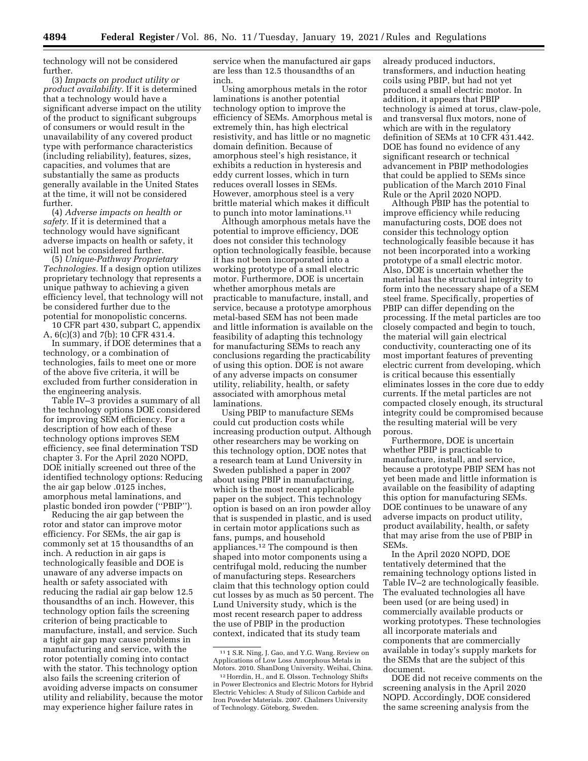technology will not be considered further.

(3) *Impacts on product utility or product availability.* If it is determined that a technology would have a significant adverse impact on the utility of the product to significant subgroups of consumers or would result in the unavailability of any covered product type with performance characteristics (including reliability), features, sizes, capacities, and volumes that are substantially the same as products generally available in the United States at the time, it will not be considered further.

(4) *Adverse impacts on health or safety.* If it is determined that a technology would have significant adverse impacts on health or safety, it will not be considered further.

(5) *Unique-Pathway Proprietary Technologies.* If a design option utilizes proprietary technology that represents a unique pathway to achieving a given efficiency level, that technology will not be considered further due to the potential for monopolistic concerns.

10 CFR part 430, subpart C, appendix A, 6(c)(3) and 7(b); 10 CFR 431.4.

In summary, if DOE determines that a technology, or a combination of technologies, fails to meet one or more of the above five criteria, it will be excluded from further consideration in the engineering analysis.

Table IV–3 provides a summary of all the technology options DOE considered for improving SEM efficiency. For a description of how each of these technology options improves SEM efficiency, see final determination TSD chapter 3. For the April 2020 NOPD, DOE initially screened out three of the identified technology options: Reducing the air gap below .0125 inches, amorphous metal laminations, and plastic bonded iron powder (''PBIP'').

Reducing the air gap between the rotor and stator can improve motor efficiency. For SEMs, the air gap is commonly set at 15 thousandths of an inch. A reduction in air gaps is technologically feasible and DOE is unaware of any adverse impacts on health or safety associated with reducing the radial air gap below 12.5 thousandths of an inch. However, this technology option fails the screening criterion of being practicable to manufacture, install, and service. Such a tight air gap may cause problems in manufacturing and service, with the rotor potentially coming into contact with the stator. This technology option also fails the screening criterion of avoiding adverse impacts on consumer utility and reliability, because the motor may experience higher failure rates in

service when the manufactured air gaps are less than 12.5 thousandths of an inch.

Using amorphous metals in the rotor laminations is another potential technology option to improve the efficiency of SEMs. Amorphous metal is extremely thin, has high electrical resistivity, and has little or no magnetic domain definition. Because of amorphous steel's high resistance, it exhibits a reduction in hysteresis and eddy current losses, which in turn reduces overall losses in SEMs. However, amorphous steel is a very brittle material which makes it difficult to punch into motor laminations.11

Although amorphous metals have the potential to improve efficiency, DOE does not consider this technology option technologically feasible, because it has not been incorporated into a working prototype of a small electric motor. Furthermore, DOE is uncertain whether amorphous metals are practicable to manufacture, install, and service, because a prototype amorphous metal-based SEM has not been made and little information is available on the feasibility of adapting this technology for manufacturing SEMs to reach any conclusions regarding the practicability of using this option. DOE is not aware of any adverse impacts on consumer utility, reliability, health, or safety associated with amorphous metal laminations.

Using PBIP to manufacture SEMs could cut production costs while increasing production output. Although other researchers may be working on this technology option, DOE notes that a research team at Lund University in Sweden published a paper in 2007 about using PBIP in manufacturing, which is the most recent applicable paper on the subject. This technology option is based on an iron powder alloy that is suspended in plastic, and is used in certain motor applications such as fans, pumps, and household appliances.12 The compound is then shaped into motor components using a centrifugal mold, reducing the number of manufacturing steps. Researchers claim that this technology option could cut losses by as much as 50 percent. The Lund University study, which is the most recent research paper to address the use of PBIP in the production context, indicated that its study team

already produced inductors, transformers, and induction heating coils using PBIP, but had not yet produced a small electric motor. In addition, it appears that PBIP technology is aimed at torus, claw-pole, and transversal flux motors, none of which are with in the regulatory definition of SEMs at 10 CFR 431.442. DOE has found no evidence of any significant research or technical advancement in PBIP methodologies that could be applied to SEMs since publication of the March 2010 Final Rule or the April 2020 NOPD.

Although PBIP has the potential to improve efficiency while reducing manufacturing costs, DOE does not consider this technology option technologically feasible because it has not been incorporated into a working prototype of a small electric motor. Also, DOE is uncertain whether the material has the structural integrity to form into the necessary shape of a SEM steel frame. Specifically, properties of PBIP can differ depending on the processing. If the metal particles are too closely compacted and begin to touch, the material will gain electrical conductivity, counteracting one of its most important features of preventing electric current from developing, which is critical because this essentially eliminates losses in the core due to eddy currents. If the metal particles are not compacted closely enough, its structural integrity could be compromised because the resulting material will be very porous.

Furthermore, DOE is uncertain whether PBIP is practicable to manufacture, install, and service, because a prototype PBIP SEM has not yet been made and little information is available on the feasibility of adapting this option for manufacturing SEMs. DOE continues to be unaware of any adverse impacts on product utility, product availability, health, or safety that may arise from the use of PBIP in SEMs.

In the April 2020 NOPD, DOE tentatively determined that the remaining technology options listed in Table IV–2 are technologically feasible. The evaluated technologies all have been used (or are being used) in commercially available products or working prototypes. These technologies all incorporate materials and components that are commercially available in today's supply markets for the SEMs that are the subject of this document.

DOE did not receive comments on the screening analysis in the April 2020 NOPD. Accordingly, DOE considered the same screening analysis from the

<sup>11</sup> 1 S.R. Ning, J. Gao, and Y.G. Wang. Review on Applications of Low Loss Amorphous Metals in Motors. 2010. ShanDong University. Weihai, China.

<sup>12</sup>Horrdin, H., and E. Olsson. Technology Shifts in Power Electronics and Electric Motors for Hybrid Electric Vehicles: A Study of Silicon Carbide and Iron Powder Materials. 2007. Chalmers University of Technology. Göteborg, Sweden.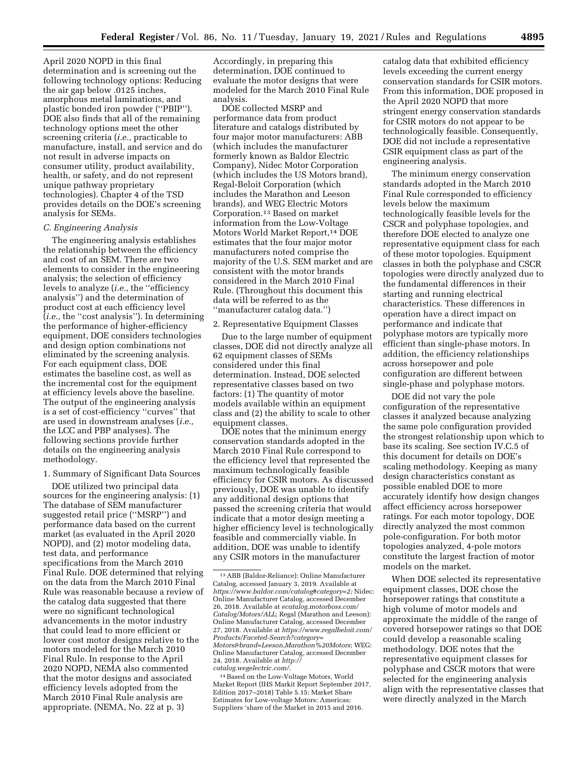April 2020 NOPD in this final determination and is screening out the following technology options: Reducing the air gap below .0125 inches, amorphous metal laminations, and plastic bonded iron powder (''PBIP''). DOE also finds that all of the remaining technology options meet the other screening criteria (*i.e.,* practicable to manufacture, install, and service and do not result in adverse impacts on consumer utility, product availability, health, or safety, and do not represent unique pathway proprietary technologies). Chapter 4 of the TSD provides details on the DOE's screening analysis for SEMs.

#### *C. Engineering Analysis*

The engineering analysis establishes the relationship between the efficiency and cost of an SEM. There are two elements to consider in the engineering analysis; the selection of efficiency levels to analyze (*i.e.,* the ''efficiency analysis'') and the determination of product cost at each efficiency level (*i.e.,* the ''cost analysis''). In determining the performance of higher-efficiency equipment, DOE considers technologies and design option combinations not eliminated by the screening analysis. For each equipment class, DOE estimates the baseline cost, as well as the incremental cost for the equipment at efficiency levels above the baseline. The output of the engineering analysis is a set of cost-efficiency ''curves'' that are used in downstream analyses (*i.e.,*  the LCC and PBP analyses). The following sections provide further details on the engineering analysis methodology.

## 1. Summary of Significant Data Sources

DOE utilized two principal data sources for the engineering analysis: (1) The database of SEM manufacturer suggested retail price (''MSRP'') and performance data based on the current market (as evaluated in the April 2020 NOPD), and (2) motor modeling data, test data, and performance specifications from the March 2010 Final Rule. DOE determined that relying on the data from the March 2010 Final Rule was reasonable because a review of the catalog data suggested that there were no significant technological advancements in the motor industry that could lead to more efficient or lower cost motor designs relative to the motors modeled for the March 2010 Final Rule. In response to the April 2020 NOPD, NEMA also commented that the motor designs and associated efficiency levels adopted from the March 2010 Final Rule analysis are appropriate. (NEMA, No. 22 at p. 3)

Accordingly, in preparing this determination, DOE continued to evaluate the motor designs that were modeled for the March 2010 Final Rule analysis.

DOE collected MSRP and performance data from product literature and catalogs distributed by four major motor manufacturers: ABB (which includes the manufacturer formerly known as Baldor Electric Company), Nidec Motor Corporation (which includes the US Motors brand), Regal-Beloit Corporation (which includes the Marathon and Leeson brands), and WEG Electric Motors Corporation.13 Based on market information from the Low-Voltage Motors World Market Report,14 DOE estimates that the four major motor manufacturers noted comprise the majority of the U.S. SEM market and are consistent with the motor brands considered in the March 2010 Final Rule. (Throughout this document this data will be referred to as the ''manufacturer catalog data.'')

#### 2. Representative Equipment Classes

Due to the large number of equipment classes, DOE did not directly analyze all 62 equipment classes of SEMs considered under this final determination. Instead, DOE selected representative classes based on two factors: (1) The quantity of motor models available within an equipment class and (2) the ability to scale to other equipment classes.

DOE notes that the minimum energy conservation standards adopted in the March 2010 Final Rule correspond to the efficiency level that represented the maximum technologically feasible efficiency for CSIR motors. As discussed previously, DOE was unable to identify any additional design options that passed the screening criteria that would indicate that a motor design meeting a higher efficiency level is technologically feasible and commercially viable. In addition, DOE was unable to identify any CSIR motors in the manufacturer

catalog data that exhibited efficiency levels exceeding the current energy conservation standards for CSIR motors. From this information, DOE proposed in the April 2020 NOPD that more stringent energy conservation standards for CSIR motors do not appear to be technologically feasible. Consequently, DOE did not include a representative CSIR equipment class as part of the engineering analysis.

The minimum energy conservation standards adopted in the March 2010 Final Rule corresponded to efficiency levels below the maximum technologically feasible levels for the CSCR and polyphase topologies, and therefore DOE elected to analyze one representative equipment class for each of these motor topologies. Equipment classes in both the polyphase and CSCR topologies were directly analyzed due to the fundamental differences in their starting and running electrical characteristics. These differences in operation have a direct impact on performance and indicate that polyphase motors are typically more efficient than single-phase motors. In addition, the efficiency relationships across horsepower and pole configuration are different between single-phase and polyphase motors.

DOE did not vary the pole configuration of the representative classes it analyzed because analyzing the same pole configuration provided the strongest relationship upon which to base its scaling. See section IV.C.5 of this document for details on DOE's scaling methodology. Keeping as many design characteristics constant as possible enabled DOE to more accurately identify how design changes affect efficiency across horsepower ratings. For each motor topology, DOE directly analyzed the most common pole-configuration. For both motor topologies analyzed, 4-pole motors constitute the largest fraction of motor models on the market.

When DOE selected its representative equipment classes, DOE chose the horsepower ratings that constitute a high volume of motor models and approximate the middle of the range of covered horsepower ratings so that DOE could develop a reasonable scaling methodology. DOE notes that the representative equipment classes for polyphase and CSCR motors that were selected for the engineering analysis align with the representative classes that were directly analyzed in the March

<sup>13</sup>ABB (Baldor-Reliance): Online Manufacturer Catalog, accessed January 3, 2019. Available at *[https://www.baldor.com/catalog#category=2;](https://www.baldor.com/catalog#category=2)* Nidec: Online Manufacturer Catalog, accessed December 26, 2018. Available at *[ecatalog.motorboss.com/](http://ecatalog.motorboss.com/Catalog/Motors/ALL)  [Catalog/Motors/ALL](http://ecatalog.motorboss.com/Catalog/Motors/ALL)*; Regal (Marathon and Leeson): Online Manufacturer Catalog, accessed December 27, 2018. Available at *[https://www.regalbeloit.com/](https://www.regalbeloit.com/Products/Faceted-Search?category=Motors&brand=Leeson,Marathon%20Motors)  [Products/Faceted-Search?category=](https://www.regalbeloit.com/Products/Faceted-Search?category=Motors&brand=Leeson,Marathon%20Motors) [Motors&brand=Leeson,Marathon%20Motors](https://www.regalbeloit.com/Products/Faceted-Search?category=Motors&brand=Leeson,Marathon%20Motors)*; WEG: Online Manufacturer Catalog, accessed December 24, 2018. Available at *[http://](http://catalog.wegelectric.com/) [catalog.wegelectric.com/.](http://catalog.wegelectric.com/)* 

<sup>14</sup>Based on the Low-Voltage Motors, World Market Report (IHS Markit Report September 2017, Edition 2017–2018) Table 5.15: Market Share Estimates for Low-voltage Motors: Americas; Suppliers 'share of the Market in 2015 and 2016.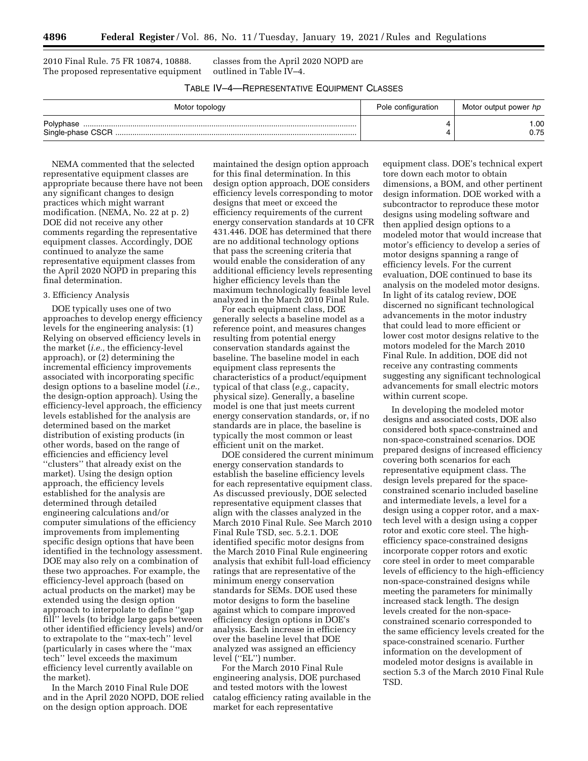2010 Final Rule. 75 FR 10874, 10888. The proposed representative equipment

classes from the April 2020 NOPD are outlined in Table IV–4.

TABLE IV–4—REPRESENTATIVE EQUIPMENT CLASSES

| Motor topology | Pole configuration | Motor output power hp |  |
|----------------|--------------------|-----------------------|--|
|                | Λ                  | .00                   |  |
|                | Δ                  | 0.75                  |  |

NEMA commented that the selected representative equipment classes are appropriate because there have not been any significant changes to design practices which might warrant modification. (NEMA, No. 22 at p. 2) DOE did not receive any other comments regarding the representative equipment classes. Accordingly, DOE continued to analyze the same representative equipment classes from the April 2020 NOPD in preparing this final determination.

#### 3. Efficiency Analysis

DOE typically uses one of two approaches to develop energy efficiency levels for the engineering analysis: (1) Relying on observed efficiency levels in the market (*i.e.,* the efficiency-level approach), or (2) determining the incremental efficiency improvements associated with incorporating specific design options to a baseline model (*i.e.,*  the design-option approach). Using the efficiency-level approach, the efficiency levels established for the analysis are determined based on the market distribution of existing products (in other words, based on the range of efficiencies and efficiency level ''clusters'' that already exist on the market). Using the design option approach, the efficiency levels established for the analysis are determined through detailed engineering calculations and/or computer simulations of the efficiency improvements from implementing specific design options that have been identified in the technology assessment. DOE may also rely on a combination of these two approaches. For example, the efficiency-level approach (based on actual products on the market) may be extended using the design option approach to interpolate to define ''gap fill'' levels (to bridge large gaps between other identified efficiency levels) and/or to extrapolate to the ''max-tech'' level (particularly in cases where the ''max tech'' level exceeds the maximum efficiency level currently available on the market).

In the March 2010 Final Rule DOE and in the April 2020 NOPD, DOE relied on the design option approach. DOE

maintained the design option approach for this final determination. In this design option approach, DOE considers efficiency levels corresponding to motor designs that meet or exceed the efficiency requirements of the current energy conservation standards at 10 CFR 431.446. DOE has determined that there are no additional technology options that pass the screening criteria that would enable the consideration of any additional efficiency levels representing higher efficiency levels than the maximum technologically feasible level analyzed in the March 2010 Final Rule.

For each equipment class, DOE generally selects a baseline model as a reference point, and measures changes resulting from potential energy conservation standards against the baseline. The baseline model in each equipment class represents the characteristics of a product/equipment typical of that class (*e.g.,* capacity, physical size). Generally, a baseline model is one that just meets current energy conservation standards, or, if no standards are in place, the baseline is typically the most common or least efficient unit on the market.

DOE considered the current minimum energy conservation standards to establish the baseline efficiency levels for each representative equipment class. As discussed previously, DOE selected representative equipment classes that align with the classes analyzed in the March 2010 Final Rule. See March 2010 Final Rule TSD, sec. 5.2.1. DOE identified specific motor designs from the March 2010 Final Rule engineering analysis that exhibit full-load efficiency ratings that are representative of the minimum energy conservation standards for SEMs. DOE used these motor designs to form the baseline against which to compare improved efficiency design options in DOE's analysis. Each increase in efficiency over the baseline level that DOE analyzed was assigned an efficiency level (''EL'') number.

For the March 2010 Final Rule engineering analysis, DOE purchased and tested motors with the lowest catalog efficiency rating available in the market for each representative

equipment class. DOE's technical expert tore down each motor to obtain dimensions, a BOM, and other pertinent design information. DOE worked with a subcontractor to reproduce these motor designs using modeling software and then applied design options to a modeled motor that would increase that motor's efficiency to develop a series of motor designs spanning a range of efficiency levels. For the current evaluation, DOE continued to base its analysis on the modeled motor designs. In light of its catalog review, DOE discerned no significant technological advancements in the motor industry that could lead to more efficient or lower cost motor designs relative to the motors modeled for the March 2010 Final Rule. In addition, DOE did not receive any contrasting comments suggesting any significant technological advancements for small electric motors within current scope.

In developing the modeled motor designs and associated costs, DOE also considered both space-constrained and non-space-constrained scenarios. DOE prepared designs of increased efficiency covering both scenarios for each representative equipment class. The design levels prepared for the spaceconstrained scenario included baseline and intermediate levels, a level for a design using a copper rotor, and a maxtech level with a design using a copper rotor and exotic core steel. The highefficiency space-constrained designs incorporate copper rotors and exotic core steel in order to meet comparable levels of efficiency to the high-efficiency non-space-constrained designs while meeting the parameters for minimally increased stack length. The design levels created for the non-spaceconstrained scenario corresponded to the same efficiency levels created for the space-constrained scenario. Further information on the development of modeled motor designs is available in section 5.3 of the March 2010 Final Rule TSD.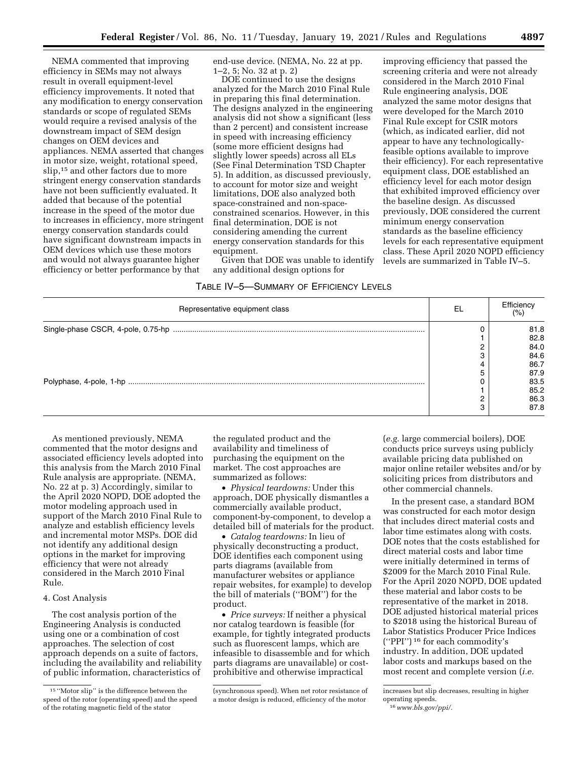NEMA commented that improving efficiency in SEMs may not always result in overall equipment-level efficiency improvements. It noted that any modification to energy conservation standards or scope of regulated SEMs would require a revised analysis of the downstream impact of SEM design changes on OEM devices and appliances. NEMA asserted that changes in motor size, weight, rotational speed, slip,<sup>15</sup> and other factors due to more stringent energy conservation standards have not been sufficiently evaluated. It added that because of the potential increase in the speed of the motor due to increases in efficiency, more stringent energy conservation standards could have significant downstream impacts in OEM devices which use these motors and would not always guarantee higher efficiency or better performance by that

end-use device. (NEMA, No. 22 at pp. 1–2, 5; No. 32 at p. 2)

DOE continued to use the designs analyzed for the March 2010 Final Rule in preparing this final determination. The designs analyzed in the engineering analysis did not show a significant (less than 2 percent) and consistent increase in speed with increasing efficiency (some more efficient designs had slightly lower speeds) across all ELs (See Final Determination TSD Chapter 5). In addition, as discussed previously, to account for motor size and weight limitations, DOE also analyzed both space-constrained and non-spaceconstrained scenarios. However, in this final determination, DOE is not considering amending the current energy conservation standards for this equipment.

Given that DOE was unable to identify any additional design options for

improving efficiency that passed the screening criteria and were not already considered in the March 2010 Final Rule engineering analysis, DOE analyzed the same motor designs that were developed for the March 2010 Final Rule except for CSIR motors (which, as indicated earlier, did not appear to have any technologicallyfeasible options available to improve their efficiency). For each representative equipment class, DOE established an efficiency level for each motor design that exhibited improved efficiency over the baseline design. As discussed previously, DOE considered the current minimum energy conservation standards as the baseline efficiency levels for each representative equipment class. These April 2020 NOPD efficiency levels are summarized in Table IV–5.

## TABLE IV–5—SUMMARY OF EFFICIENCY LEVELS

| Representative equipment class | EL         | Efficiency<br>(% )           |
|--------------------------------|------------|------------------------------|
|                                |            | 81.8<br>82.8<br>84.0<br>84.6 |
|                                |            | 86.7<br>87.9<br>83.5         |
|                                | $\sqrt{2}$ | 85.2<br>86.3<br>87.8         |

As mentioned previously, NEMA commented that the motor designs and associated efficiency levels adopted into this analysis from the March 2010 Final Rule analysis are appropriate. (NEMA, No. 22 at p. 3) Accordingly, similar to the April 2020 NOPD, DOE adopted the motor modeling approach used in support of the March 2010 Final Rule to analyze and establish efficiency levels and incremental motor MSPs. DOE did not identify any additional design options in the market for improving efficiency that were not already considered in the March 2010 Final Rule.

## 4. Cost Analysis

The cost analysis portion of the Engineering Analysis is conducted using one or a combination of cost approaches. The selection of cost approach depends on a suite of factors, including the availability and reliability of public information, characteristics of

the regulated product and the availability and timeliness of purchasing the equipment on the market. The cost approaches are summarized as follows:

• *Physical teardowns:* Under this approach, DOE physically dismantles a commercially available product, component-by-component, to develop a detailed bill of materials for the product.

• *Catalog teardowns:* In lieu of physically deconstructing a product, DOE identifies each component using parts diagrams (available from manufacturer websites or appliance repair websites, for example) to develop the bill of materials (''BOM'') for the product.

• *Price surveys:* If neither a physical nor catalog teardown is feasible (for example, for tightly integrated products such as fluorescent lamps, which are infeasible to disassemble and for which parts diagrams are unavailable) or costprohibitive and otherwise impractical

(*e.g.* large commercial boilers), DOE conducts price surveys using publicly available pricing data published on major online retailer websites and/or by soliciting prices from distributors and other commercial channels.

In the present case, a standard BOM was constructed for each motor design that includes direct material costs and labor time estimates along with costs. DOE notes that the costs established for direct material costs and labor time were initially determined in terms of \$2009 for the March 2010 Final Rule. For the April 2020 NOPD, DOE updated these material and labor costs to be representative of the market in 2018. DOE adjusted historical material prices to \$2018 using the historical Bureau of Labor Statistics Producer Price Indices (''PPI'') 16 for each commodity's industry. In addition, DOE updated labor costs and markups based on the most recent and complete version (*i.e.* 

<sup>15</sup> ''Motor slip'' is the difference between the speed of the rotor (operating speed) and the speed of the rotating magnetic field of the stator

<sup>(</sup>synchronous speed). When net rotor resistance of a motor design is reduced, efficiency of the motor

increases but slip decreases, resulting in higher operating speeds.

<sup>16</sup>*[www.bls.gov/ppi/.](http://www.bls.gov/ppi/)*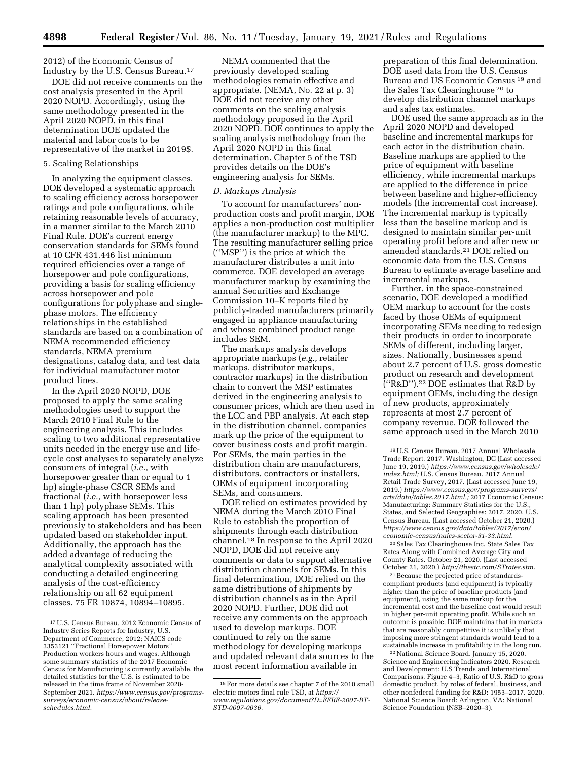2012) of the Economic Census of Industry by the U.S. Census Bureau.17

DOE did not receive comments on the cost analysis presented in the April 2020 NOPD. Accordingly, using the same methodology presented in the April 2020 NOPD, in this final determination DOE updated the material and labor costs to be representative of the market in 2019\$.

#### 5. Scaling Relationships

In analyzing the equipment classes, DOE developed a systematic approach to scaling efficiency across horsepower ratings and pole configurations, while retaining reasonable levels of accuracy, in a manner similar to the March 2010 Final Rule. DOE's current energy conservation standards for SEMs found at 10 CFR 431.446 list minimum required efficiencies over a range of horsepower and pole configurations, providing a basis for scaling efficiency across horsepower and pole configurations for polyphase and singlephase motors. The efficiency relationships in the established standards are based on a combination of NEMA recommended efficiency standards, NEMA premium designations, catalog data, and test data for individual manufacturer motor product lines.

In the April 2020 NOPD, DOE proposed to apply the same scaling methodologies used to support the March 2010 Final Rule to the engineering analysis. This includes scaling to two additional representative units needed in the energy use and lifecycle cost analyses to separately analyze consumers of integral (*i.e.,* with horsepower greater than or equal to 1 hp) single-phase CSCR SEMs and fractional (*i.e.,* with horsepower less than 1 hp) polyphase SEMs. This scaling approach has been presented previously to stakeholders and has been updated based on stakeholder input. Additionally, the approach has the added advantage of reducing the analytical complexity associated with conducting a detailed engineering analysis of the cost-efficiency relationship on all 62 equipment classes. 75 FR 10874, 10894–10895.

NEMA commented that the previously developed scaling methodologies remain effective and appropriate. (NEMA, No. 22 at p. 3) DOE did not receive any other comments on the scaling analysis methodology proposed in the April 2020 NOPD. DOE continues to apply the scaling analysis methodology from the April 2020 NOPD in this final determination. Chapter 5 of the TSD provides details on the DOE's engineering analysis for SEMs.

#### *D. Markups Analysis*

To account for manufacturers' nonproduction costs and profit margin, DOE applies a non-production cost multiplier (the manufacturer markup) to the MPC. The resulting manufacturer selling price (''MSP'') is the price at which the manufacturer distributes a unit into commerce. DOE developed an average manufacturer markup by examining the annual Securities and Exchange Commission 10–K reports filed by publicly-traded manufacturers primarily engaged in appliance manufacturing and whose combined product range includes SEM.

The markups analysis develops appropriate markups (*e.g.,* retailer markups, distributor markups, contractor markups) in the distribution chain to convert the MSP estimates derived in the engineering analysis to consumer prices, which are then used in the LCC and PBP analysis. At each step in the distribution channel, companies mark up the price of the equipment to cover business costs and profit margin. For SEMs, the main parties in the distribution chain are manufacturers, distributors, contractors or installers, OEMs of equipment incorporating SEMs, and consumers.

DOE relied on estimates provided by NEMA during the March 2010 Final Rule to establish the proportion of shipments through each distribution channel.18 In response to the April 2020 NOPD, DOE did not receive any comments or data to support alternative distribution channels for SEMs. In this final determination, DOE relied on the same distributions of shipments by distribution channels as in the April 2020 NOPD. Further, DOE did not receive any comments on the approach used to develop markups. DOE continued to rely on the same methodology for developing markups and updated relevant data sources to the most recent information available in

preparation of this final determination. DOE used data from the U.S. Census Bureau and US Economic Census 19 and the Sales Tax Clearinghouse 20 to develop distribution channel markups and sales tax estimates.

DOE used the same approach as in the April 2020 NOPD and developed baseline and incremental markups for each actor in the distribution chain. Baseline markups are applied to the price of equipment with baseline efficiency, while incremental markups are applied to the difference in price between baseline and higher-efficiency models (the incremental cost increase). The incremental markup is typically less than the baseline markup and is designed to maintain similar per-unit operating profit before and after new or amended standards.21 DOE relied on economic data from the U.S. Census Bureau to estimate average baseline and incremental markups.

Further, in the space-constrained scenario, DOE developed a modified OEM markup to account for the costs faced by those OEMs of equipment incorporating SEMs needing to redesign their products in order to incorporate SEMs of different, including larger, sizes. Nationally, businesses spend about 2.7 percent of U.S. gross domestic product on research and development (''R&D'').22 DOE estimates that R&D by equipment OEMs, including the design of new products, approximately represents at most 2.7 percent of company revenue. DOE followed the same approach used in the March 2010

20Sales Tax Clearinghouse Inc. State Sales Tax Rates Along with Combined Average City and County Rates. October 21, 2020. (Last accessed October 21, 2020.) *[http://thestc.com/STrates.stm.](http://thestc.com/STrates.stm)* 

21Because the projected price of standardscompliant products (and equipment) is typically higher than the price of baseline products (and equipment), using the same markup for the incremental cost and the baseline cost would result in higher per-unit operating profit. While such an outcome is possible, DOE maintains that in markets that are reasonably competitive it is unlikely that imposing more stringent standards would lead to a sustainable increase in profitability in the long run.

22National Science Board. January 15, 2020. Science and Engineering Indicators 2020. Research and Development: U.S Trends and International Comparisons. Figure 4–3, Ratio of U.S. R&D to gross domestic product, by roles of federal, business, and other nonfederal funding for R&D: 1953–2017. 2020. National Science Board: Arlington, VA: National Science Foundation (NSB–2020–3).

<sup>17</sup>U.S. Census Bureau, 2012 Economic Census of Industry Series Reports for Industry, U.S. Department of Commerce, 2012; NAICS code 3353121 ''Fractional Horsepower Motors'' Production workers hours and wages. Although some summary statistics of the 2017 Economic Census for Manufacturing is currently available, the detailed statistics for the U.S. is estimated to be released in the time frame of November 2020- September 2021. *[https://www.census.gov/programs](https://www.census.gov/programs-surveys/economic-census/about/release-schedules.html)[surveys/economic-census/about/release](https://www.census.gov/programs-surveys/economic-census/about/release-schedules.html)[schedules.html.](https://www.census.gov/programs-surveys/economic-census/about/release-schedules.html)* 

<sup>18</sup>For more details see chapter 7 of the 2010 small electric motors final rule TSD, at *[https://](https://www.regulations.gov/document?D=EERE-2007-BT-STD-0007-0036) [www.regulations.gov/document?D=EERE-2007-BT-](https://www.regulations.gov/document?D=EERE-2007-BT-STD-0007-0036)[STD-0007-0036.](https://www.regulations.gov/document?D=EERE-2007-BT-STD-0007-0036)* 

<sup>19</sup>U.S. Census Bureau. 2017 Annual Wholesale Trade Report. 2017. Washington, DC (Last accessed June 19, 2019.) *[https://www.census.gov/wholesale/](https://www.census.gov/wholesale/index.html) [index.html;](https://www.census.gov/wholesale/index.html)* U.S. Census Bureau. 2017 Annual Retail Trade Survey, 2017. (Last accessed June 19, 2019.) *[https://www.census.gov/programs-surveys/](https://www.census.gov/programs-surveys/arts/data/tables.2017.html) [arts/data/tables.2017.html.;](https://www.census.gov/programs-surveys/arts/data/tables.2017.html)* 2017 Economic Census: Manufacturing: Summary Statistics for the U.S., States, and Selected Geographies: 2017. 2020. U.S. Census Bureau. (Last accessed October 21, 2020.) *[https://www.census.gov/data/tables/2017/econ/](https://www.census.gov/data/tables/2017/econ/economic-census/naics-sector-31-33.html) [economic-census/naics-sector-31-33.html.](https://www.census.gov/data/tables/2017/econ/economic-census/naics-sector-31-33.html)*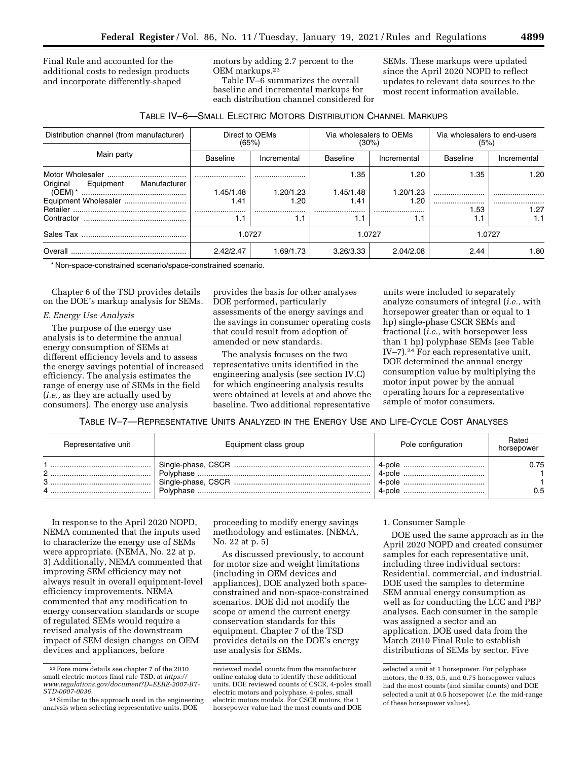Final Rule and accounted for the additional costs to redesign products and incorporate differently-shaped

motors by adding 2.7 percent to the OEM markups.23

Table IV–6 summarizes the overall baseline and incremental markups for each distribution channel considered for SEMs. These markups were updated since the April 2020 NOPD to reflect updates to relevant data sources to the most recent information available.

| TABLE IV-6-SMALL ELECTRIC MOTORS DISTRIBUTION CHANNEL MARKUPS |
|---------------------------------------------------------------|
|---------------------------------------------------------------|

| Distribution channel (from manufacturer) | (65%)                 | Direct to OEMs    | Via wholesalers to OEMs<br>$(30\%)$ |                       | Via wholesalers to end-users<br>(5%) |             |
|------------------------------------------|-----------------------|-------------------|-------------------------------------|-----------------------|--------------------------------------|-------------|
| Main party                               | <b>Baseline</b>       | Incremental       | Baseline                            | Incremental           | Baseline                             | Incremental |
| Original<br>Manufacturer<br>Equipment    |                       |                   | 1.35                                | 1.20                  | 1.35                                 | 1.20        |
| $(OEM)*$                                 | 1.45/1.48<br>1.41<br> | 1.20/1.23<br>1.20 | 1.45/1.48<br>1.41<br>               | 1.20/1.23<br>1.20<br> | .53                                  | <br>1.27    |
| Contractor                               | 1.1                   | 1.1               | 1.1                                 | 1.1                   | 1.1                                  | 1.1         |
|                                          |                       | 1.0727            | 1.0727                              |                       | 1.0727                               |             |
| Overall                                  | 2.42/2.47             | 1.69/1.73         | 3.26/3.33                           | 2.04/2.08             | 2.44                                 | 1.80        |

\* Non-space-constrained scenario/space-constrained scenario.

Chapter 6 of the TSD provides details on the DOE's markup analysis for SEMs.

## *E. Energy Use Analysis*

The purpose of the energy use analysis is to determine the annual energy consumption of SEMs at different efficiency levels and to assess the energy savings potential of increased efficiency. The analysis estimates the range of energy use of SEMs in the field (*i.e.,* as they are actually used by consumers). The energy use analysis

provides the basis for other analyses DOE performed, particularly assessments of the energy savings and the savings in consumer operating costs that could result from adoption of amended or new standards.

The analysis focuses on the two representative units identified in the engineering analysis (see section IV.C) for which engineering analysis results were obtained at levels at and above the baseline. Two additional representative

units were included to separately analyze consumers of integral (*i.e.,* with horsepower greater than or equal to 1 hp) single-phase CSCR SEMs and fractional (*i.e.,* with horsepower less than 1 hp) polyphase SEMs (see Table IV–7).24 For each representative unit, DOE determined the annual energy consumption value by multiplying the motor input power by the annual operating hours for a representative sample of motor consumers.

TABLE IV–7—REPRESENTATIVE UNITS ANALYZED IN THE ENERGY USE AND LIFE-CYCLE COST ANALYSES

| Representative unit | Equipment class group | Pole configuration | Rated<br>horsepower |
|---------------------|-----------------------|--------------------|---------------------|
|                     |                       |                    | 0.75<br>0.5         |

In response to the April 2020 NOPD, NEMA commented that the inputs used to characterize the energy use of SEMs were appropriate. (NEMA, No. 22 at p. 3) Additionally, NEMA commented that improving SEM efficiency may not always result in overall equipment-level efficiency improvements. NEMA commented that any modification to energy conservation standards or scope of regulated SEMs would require a revised analysis of the downstream impact of SEM design changes on OEM devices and appliances, before

proceeding to modify energy savings methodology and estimates. (NEMA, No. 22 at p. 5)

As discussed previously, to account for motor size and weight limitations (including in OEM devices and appliances), DOE analyzed both spaceconstrained and non-space-constrained scenarios. DOE did not modify the scope or amend the current energy conservation standards for this equipment. Chapter 7 of the TSD provides details on the DOE's energy use analysis for SEMs.

### 1. Consumer Sample

DOE used the same approach as in the April 2020 NOPD and created consumer samples for each representative unit, including three individual sectors: Residential, commercial, and industrial. DOE used the samples to determine SEM annual energy consumption as well as for conducting the LCC and PBP analyses. Each consumer in the sample was assigned a sector and an application. DOE used data from the March 2010 Final Rule to establish distributions of SEMs by sector. Five

<sup>23</sup>Fore more details see chapter 7 of the 2010 small electric motors final rule TSD, at *[https://](https://www.regulations.gov/document?D=EERE-2007-BT-STD-0007-0036)  [www.regulations.gov/document?D=EERE-2007-BT-](https://www.regulations.gov/document?D=EERE-2007-BT-STD-0007-0036)[STD-0007-0036.](https://www.regulations.gov/document?D=EERE-2007-BT-STD-0007-0036)* 

<sup>24</sup>Similar to the approach used in the engineering analysis when selecting representative units, DOE

reviewed model counts from the manufacturer online catalog data to identify these additional units. DOE reviewed counts of CSCR, 4-poles small electric motors and polyphase, 4-poles, small electric motors models. For CSCR motors, the 1 horsepower value had the most counts and DOE

selected a unit at 1 horsepower. For polyphase motors, the 0.33, 0.5, and 0.75 horsepower values had the most counts (and similar counts) and DOE selected a unit at 0.5 horsepower (*i.e.* the mid-range of these horsepower values).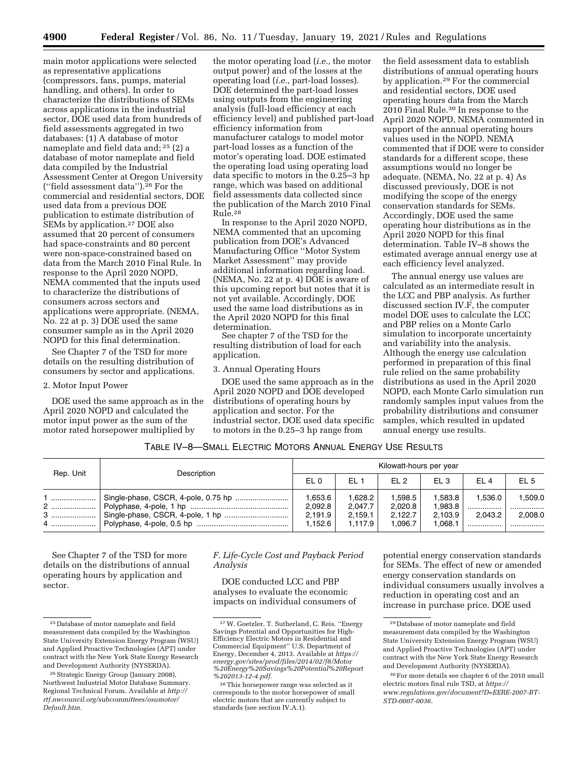main motor applications were selected as representative applications (compressors, fans, pumps, material handling, and others). In order to characterize the distributions of SEMs across applications in the industrial sector, DOE used data from hundreds of field assessments aggregated in two databases: (1) A database of motor nameplate and field data and; 25 (2) a database of motor nameplate and field data compiled by the Industrial Assessment Center at Oregon University (''field assessment data'').26 For the commercial and residential sectors, DOE used data from a previous DOE publication to estimate distribution of SEMs by application.27 DOE also assumed that 20 percent of consumers had space-constraints and 80 percent were non-space-constrained based on data from the March 2010 Final Rule. In response to the April 2020 NOPD, NEMA commented that the inputs used to characterize the distributions of consumers across sectors and applications were appropriate. (NEMA, No. 22 at p. 3) DOE used the same consumer sample as in the April 2020 NOPD for this final determination.

See Chapter 7 of the TSD for more details on the resulting distribution of consumers by sector and applications.

#### 2. Motor Input Power

DOE used the same approach as in the April 2020 NOPD and calculated the motor input power as the sum of the motor rated horsepower multiplied by

the motor operating load (*i.e.,* the motor output power) and of the losses at the operating load (*i.e.,* part-load losses). DOE determined the part-load losses using outputs from the engineering analysis (full-load efficiency at each efficiency level) and published part-load efficiency information from manufacturer catalogs to model motor part-load losses as a function of the motor's operating load. DOE estimated the operating load using operating load data specific to motors in the 0.25–3 hp range, which was based on additional field assessments data collected since the publication of the March 2010 Final Rule.28

In response to the April 2020 NOPD, NEMA commented that an upcoming publication from DOE's Advanced Manufacturing Office ''Motor System Market Assessment'' may provide additional information regarding load. (NEMA, No. 22 at p. 4) DOE is aware of this upcoming report but notes that it is not yet available. Accordingly, DOE used the same load distributions as in the April 2020 NOPD for this final determination.

See chapter 7 of the TSD for the resulting distribution of load for each application.

### 3. Annual Operating Hours

DOE used the same approach as in the April 2020 NOPD and DOE developed distributions of operating hours by application and sector. For the industrial sector, DOE used data specific to motors in the 0.25–3 hp range from

the field assessment data to establish distributions of annual operating hours by application.29 For the commercial and residential sectors, DOE used operating hours data from the March 2010 Final Rule.30 In response to the April 2020 NOPD, NEMA commented in support of the annual operating hours values used in the NOPD. NEMA commented that if DOE were to consider standards for a different scope, these assumptions would no longer be adequate. (NEMA, No. 22 at p. 4) As discussed previously, DOE is not modifying the scope of the energy conservation standards for SEMs. Accordingly, DOE used the same operating hour distributions as in the April 2020 NOPD for this final determination. Table IV–8 shows the estimated average annual energy use at each efficiency level analyzed.

The annual energy use values are calculated as an intermediate result in the LCC and PBP analysis. As further discussed section IV.F, the computer model DOE uses to calculate the LCC and PBP relies on a Monte Carlo simulation to incorporate uncertainty and variability into the analysis. Although the energy use calculation performed in preparation of this final rule relied on the same probability distributions as used in the April 2020 NOPD, each Monte Carlo simulation run randomly samples input values from the probability distributions and consumer samples, which resulted in updated annual energy use results.

## TABLE IV–8—SMALL ELECTRIC MOTORS ANNUAL ENERGY USE RESULTS

| Rep. Unit | Description | Kilowatt-hours per year |                    |                    |                    |              |                 |
|-----------|-------------|-------------------------|--------------------|--------------------|--------------------|--------------|-----------------|
|           |             | EL <sub>0</sub>         | EL <sub>1</sub>    | F12                | EL <sub>3</sub>    | EL 4         | EL <sub>5</sub> |
|           |             | 1,653.6<br>2,092.8      | 1,628.2<br>2,047.7 | 1,598.5<br>2,020.8 | 1,583.8<br>1.983.8 | 1.536.0<br>. | 1,509.0         |
|           |             | 2,191.9<br>1.152.6      | 2,159.1<br>1.117.9 | 2,122.7<br>1.096.7 | 2.103.9<br>1.068.1 | 2.043.2<br>  | 2,008.0         |

See Chapter 7 of the TSD for more details on the distributions of annual operating hours by application and sector.

*F. Life-Cycle Cost and Payback Period Analysis* 

DOE conducted LCC and PBP analyses to evaluate the economic impacts on individual consumers of

potential energy conservation standards for SEMs. The effect of new or amended energy conservation standards on individual consumers usually involves a reduction in operating cost and an increase in purchase price. DOE used

<sup>25</sup> Database of motor nameplate and field measurement data compiled by the Washington State University Extension Energy Program (WSU) and Applied Proactive Technologies (APT) under contract with the New York State Energy Research and Development Authority (NYSERDA).

<sup>&</sup>lt;sup>26</sup> Strategic Energy Group (January 2008), Northwest Industrial Motor Database Summary. Regional Technical Forum. Available at *[http://](http://rtf.nwcouncil.org/subcommittees/osumotor/Default.htm) [rtf.nwcouncil.org/subcommittees/osumotor/](http://rtf.nwcouncil.org/subcommittees/osumotor/Default.htm) [Default.htm.](http://rtf.nwcouncil.org/subcommittees/osumotor/Default.htm)* 

<sup>27</sup>W. Goetzler, T. Sutherland, C. Reis. ''Energy Savings Potential and Opportunities for High-Efficiency Electric Motors in Residential and Commercial Equipment'' U.S. Department of Energy, December 4, 2013. Available at *[https://](https://energy.gov/sites/prod/files/2014/02/f8/Motor%20Energy%20Savings%20Potential%20Report%202013-12-4.pdf) [energy.gov/sites/prod/files/2014/02/f8/Motor](https://energy.gov/sites/prod/files/2014/02/f8/Motor%20Energy%20Savings%20Potential%20Report%202013-12-4.pdf) [%20Energy%20Savings%20Potential%20Report](https://energy.gov/sites/prod/files/2014/02/f8/Motor%20Energy%20Savings%20Potential%20Report%202013-12-4.pdf) [%202013-12-4.pdf.](https://energy.gov/sites/prod/files/2014/02/f8/Motor%20Energy%20Savings%20Potential%20Report%202013-12-4.pdf)* 

<sup>28</sup>This horsepower range was selected as it corresponds to the motor horsepower of small electric motors that are currently subject to standards (see section IV.A.1).

<sup>29</sup> Database of motor nameplate and field measurement data compiled by the Washington State University Extension Energy Program (WSU) and Applied Proactive Technologies (APT) under contract with the New York State Energy Research and Development Authority (NYSERDA).

<sup>30</sup>For more details see chapter 6 of the 2010 small electric motors final rule TSD, at *[https://](https://www.regulations.gov/document?D=EERE-2007-BT-STD-0007-0036) [www.regulations.gov/document?D=EERE-2007-BT-](https://www.regulations.gov/document?D=EERE-2007-BT-STD-0007-0036)[STD-0007-0036.](https://www.regulations.gov/document?D=EERE-2007-BT-STD-0007-0036)*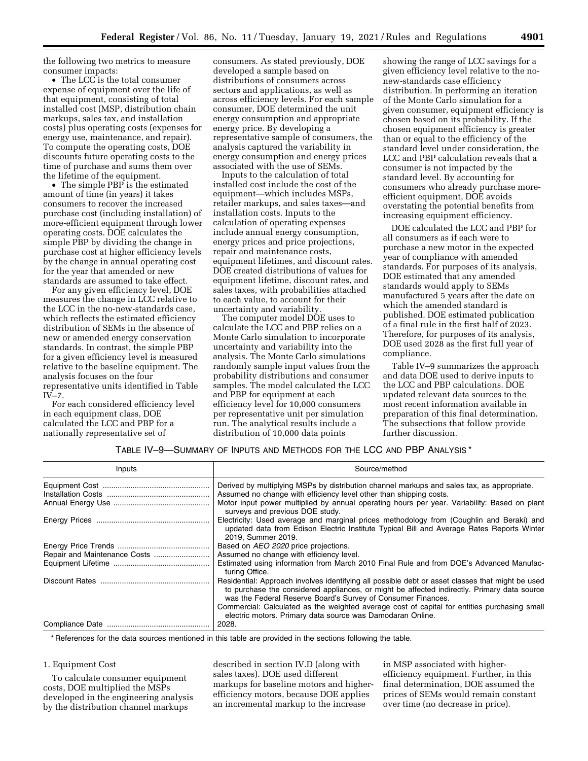the following two metrics to measure consumer impacts:

• The LCC is the total consumer expense of equipment over the life of that equipment, consisting of total installed cost (MSP, distribution chain markups, sales tax, and installation costs) plus operating costs (expenses for energy use, maintenance, and repair). To compute the operating costs, DOE discounts future operating costs to the time of purchase and sums them over the lifetime of the equipment.

• The simple PBP is the estimated amount of time (in years) it takes consumers to recover the increased purchase cost (including installation) of more-efficient equipment through lower operating costs. DOE calculates the simple PBP by dividing the change in purchase cost at higher efficiency levels by the change in annual operating cost for the year that amended or new standards are assumed to take effect.

For any given efficiency level, DOE measures the change in LCC relative to the LCC in the no-new-standards case, which reflects the estimated efficiency distribution of SEMs in the absence of new or amended energy conservation standards. In contrast, the simple PBP for a given efficiency level is measured relative to the baseline equipment. The analysis focuses on the four representative units identified in Table IV–7.

For each considered efficiency level in each equipment class, DOE calculated the LCC and PBP for a nationally representative set of

consumers. As stated previously, DOE developed a sample based on distributions of consumers across sectors and applications, as well as across efficiency levels. For each sample consumer, DOE determined the unit energy consumption and appropriate energy price. By developing a representative sample of consumers, the analysis captured the variability in energy consumption and energy prices associated with the use of SEMs.

Inputs to the calculation of total installed cost include the cost of the equipment—which includes MSPs, retailer markups, and sales taxes—and installation costs. Inputs to the calculation of operating expenses include annual energy consumption, energy prices and price projections, repair and maintenance costs, equipment lifetimes, and discount rates. DOE created distributions of values for equipment lifetime, discount rates, and sales taxes, with probabilities attached to each value, to account for their uncertainty and variability.

The computer model DOE uses to calculate the LCC and PBP relies on a Monte Carlo simulation to incorporate uncertainty and variability into the analysis. The Monte Carlo simulations randomly sample input values from the probability distributions and consumer samples. The model calculated the LCC and PBP for equipment at each efficiency level for 10,000 consumers per representative unit per simulation run. The analytical results include a distribution of 10,000 data points

showing the range of LCC savings for a given efficiency level relative to the nonew-standards case efficiency distribution. In performing an iteration of the Monte Carlo simulation for a given consumer, equipment efficiency is chosen based on its probability. If the chosen equipment efficiency is greater than or equal to the efficiency of the standard level under consideration, the LCC and PBP calculation reveals that a consumer is not impacted by the standard level. By accounting for consumers who already purchase moreefficient equipment, DOE avoids overstating the potential benefits from increasing equipment efficiency.

DOE calculated the LCC and PBP for all consumers as if each were to purchase a new motor in the expected year of compliance with amended standards. For purposes of its analysis, DOE estimated that any amended standards would apply to SEMs manufactured 5 years after the date on which the amended standard is published. DOE estimated publication of a final rule in the first half of 2023. Therefore, for purposes of its analysis, DOE used 2028 as the first full year of compliance.

Table IV–9 summarizes the approach and data DOE used to derive inputs to the LCC and PBP calculations. DOE updated relevant data sources to the most recent information available in preparation of this final determination. The subsections that follow provide further discussion.

## TABLE IV–9—SUMMARY OF INPUTS AND METHODS FOR THE LCC AND PBP ANALYSIS \*

| Inputs | Source/method                                                                                                                                                                                                                                                   |
|--------|-----------------------------------------------------------------------------------------------------------------------------------------------------------------------------------------------------------------------------------------------------------------|
|        | Derived by multiplying MSPs by distribution channel markups and sales tax, as appropriate.                                                                                                                                                                      |
|        | Assumed no change with efficiency level other than shipping costs.                                                                                                                                                                                              |
|        | Motor input power multiplied by annual operating hours per year. Variability: Based on plant<br>surveys and previous DOE study.                                                                                                                                 |
|        | Electricity: Used average and marginal prices methodology from (Coughlin and Beraki) and<br>updated data from Edison Electric Institute Typical Bill and Average Rates Reports Winter<br>2019, Summer 2019.                                                     |
|        | Based on AEO 2020 price projections.                                                                                                                                                                                                                            |
|        | Assumed no change with efficiency level.                                                                                                                                                                                                                        |
|        | Estimated using information from March 2010 Final Rule and from DOE's Advanced Manufac-<br>turing Office.                                                                                                                                                       |
|        | Residential: Approach involves identifying all possible debt or asset classes that might be used<br>to purchase the considered appliances, or might be affected indirectly. Primary data source<br>was the Federal Reserve Board's Survey of Consumer Finances. |
|        | Commercial: Calculated as the weighted average cost of capital for entities purchasing small<br>electric motors. Primary data source was Damodaran Online.                                                                                                      |
|        | 2028.                                                                                                                                                                                                                                                           |

\* References for the data sources mentioned in this table are provided in the sections following the table.

#### 1. Equipment Cost

To calculate consumer equipment costs, DOE multiplied the MSPs developed in the engineering analysis by the distribution channel markups

described in section IV.D (along with sales taxes). DOE used different markups for baseline motors and higherefficiency motors, because DOE applies an incremental markup to the increase

in MSP associated with higherefficiency equipment. Further, in this final determination, DOE assumed the prices of SEMs would remain constant over time (no decrease in price).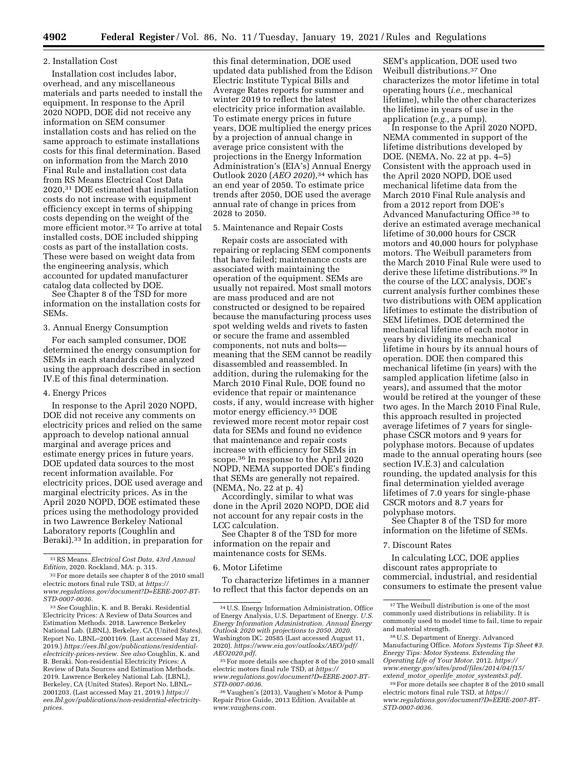#### 2. Installation Cost

Installation cost includes labor, overhead, and any miscellaneous materials and parts needed to install the equipment. In response to the April 2020 NOPD, DOE did not receive any information on SEM consumer installation costs and has relied on the same approach to estimate installations costs for this final determination. Based on information from the March 2010 Final Rule and installation cost data from RS Means Electrical Cost Data 2020,31 DOE estimated that installation costs do not increase with equipment efficiency except in terms of shipping costs depending on the weight of the more efficient motor.32 To arrive at total installed costs, DOE included shipping costs as part of the installation costs. These were based on weight data from the engineering analysis, which accounted for updated manufacturer catalog data collected by DOE.

See Chapter 8 of the TSD for more information on the installation costs for SEMs.

## 3. Annual Energy Consumption

For each sampled consumer, DOE determined the energy consumption for SEMs in each standards case analyzed using the approach described in section IV.E of this final determination.

### 4. Energy Prices

In response to the April 2020 NOPD, DOE did not receive any comments on electricity prices and relied on the same approach to develop national annual marginal and average prices and estimate energy prices in future years. DOE updated data sources to the most recent information available. For electricity prices, DOE used average and marginal electricity prices. As in the April 2020 NOPD, DOE estimated these prices using the methodology provided in two Lawrence Berkeley National Laboratory reports (Coughlin and Beraki).33 In addition, in preparation for

this final determination, DOE used updated data published from the Edison Electric Institute Typical Bills and Average Rates reports for summer and winter 2019 to reflect the latest electricity price information available. To estimate energy prices in future years, DOE multiplied the energy prices by a projection of annual change in average price consistent with the projections in the Energy Information Administration's (EIA's) Annual Energy Outlook 2020 (*AEO 2020*),34 which has an end year of 2050. To estimate price trends after 2050, DOE used the average annual rate of change in prices from 2028 to 2050.

#### 5. Maintenance and Repair Costs

Repair costs are associated with repairing or replacing SEM components that have failed; maintenance costs are associated with maintaining the operation of the equipment. SEMs are usually not repaired. Most small motors are mass produced and are not constructed or designed to be repaired because the manufacturing process uses spot welding welds and rivets to fasten or secure the frame and assembled components, not nuts and bolts meaning that the SEM cannot be readily disassembled and reassembled. In addition, during the rulemaking for the March 2010 Final Rule, DOE found no evidence that repair or maintenance costs, if any, would increase with higher motor energy efficiency.35 DOE reviewed more recent motor repair cost data for SEMs and found no evidence that maintenance and repair costs increase with efficiency for SEMs in scope.36 In response to the April 2020 NOPD, NEMA supported DOE's finding that SEMs are generally not repaired. (NEMA, No. 22 at p. 4)

Accordingly, similar to what was done in the April 2020 NOPD, DOE did not account for any repair costs in the LCC calculation.

See Chapter 8 of the TSD for more information on the repair and maintenance costs for SEMs.

6. Motor Lifetime

To characterize lifetimes in a manner to reflect that this factor depends on an

SEM's application, DOE used two Weibull distributions.37 One characterizes the motor lifetime in total operating hours (*i.e.,* mechanical lifetime), while the other characterizes the lifetime in years of use in the application (*e.g.,* a pump).

In response to the April 2020 NOPD, NEMA commented in support of the lifetime distributions developed by DOE. (NEMA, No. 22 at pp. 4–5) Consistent with the approach used in the April 2020 NOPD, DOE used mechanical lifetime data from the March 2010 Final Rule analysis and from a 2012 report from DOE's Advanced Manufacturing Office 38 to derive an estimated average mechanical lifetime of 30,000 hours for CSCR motors and 40,000 hours for polyphase motors. The Weibull parameters from the March 2010 Final Rule were used to derive these lifetime distributions.39 In the course of the LCC analysis, DOE's current analysis further combines these two distributions with OEM application lifetimes to estimate the distribution of SEM lifetimes. DOE determined the mechanical lifetime of each motor in years by dividing its mechanical lifetime in hours by its annual hours of operation. DOE then compared this mechanical lifetime (in years) with the sampled application lifetime (also in years), and assumed that the motor would be retired at the younger of these two ages. In the March 2010 Final Rule, this approach resulted in projected average lifetimes of 7 years for singlephase CSCR motors and 9 years for polyphase motors. Because of updates made to the annual operating hours (see section IV.E.3) and calculation rounding, the updated analysis for this final determination yielded average lifetimes of 7.0 years for single-phase CSCR motors and 8.7 years for polyphase motors.

See Chapter 8 of the TSD for more information on the lifetime of SEMs.

#### 7. Discount Rates

In calculating LCC, DOE applies discount rates appropriate to commercial, industrial, and residential consumers to estimate the present value

<sup>31</sup>RS Means. *Electrical Cost Data, 43rd Annual Edition,* 2020. Rockland, MA. p. 315.

<sup>&</sup>lt;sup>32</sup> For more details see chapter 8 of the 2010 small electric motors final rule TSD, at *[https://](https://www.regulations.gov/document?D=EERE-2007-BT-STD-0007-0036) [www.regulations.gov/document?D=EERE-2007-BT-](https://www.regulations.gov/document?D=EERE-2007-BT-STD-0007-0036)[STD-0007-0036.](https://www.regulations.gov/document?D=EERE-2007-BT-STD-0007-0036)* 

<sup>33</sup>*See* Coughlin, K. and B. Beraki. Residential Electricity Prices: A Review of Data Sources and Estimation Methods. 2018. Lawrence Berkeley National Lab. (LBNL), Berkeley, CA (United States). Report No. LBNL–2001169. (Last accessed May 21, 2019.) *[https://ees.lbl.gov/publications/residential](https://ees.lbl.gov/publications/residential-electricity-prices-review)[electricity-prices-review.](https://ees.lbl.gov/publications/residential-electricity-prices-review) See also* Coughlin, K. and B. Beraki. Non-residential Electricity Prices: A Review of Data Sources and Estimation Methods. 2019. Lawrence Berkeley National Lab. (LBNL), Berkeley, CA (United States). Report No. LBNL– 2001203. (Last accessed May 21, 2019.) *[https://](https://ees.lbl.gov/publications/non-residential-electricity-prices) [ees.lbl.gov/publications/non-residential-electricity](https://ees.lbl.gov/publications/non-residential-electricity-prices)[prices.](https://ees.lbl.gov/publications/non-residential-electricity-prices)* 

<sup>34</sup>U.S. Energy Information Administration, Office of Energy Analysis, U.S. Department of Energy. *U.S. Energy Information Administration. Annual Energy Outlook 2020 with projections to 2050. 2020.*  Washington DC. 20585 (Last accessed August 11, 2020). *[https://www.eia.gov/outlooks/AEO/pdf/](https://www.eia.gov/outlooks/AEO/pdf/AEO2020.pdf) [AEO2020.pdf.](https://www.eia.gov/outlooks/AEO/pdf/AEO2020.pdf)* 

<sup>35</sup>For more details see chapter 8 of the 2010 small electric motors final rule TSD, at *[https://](https://www.regulations.gov/document?D=EERE-2007-BT-STD-0007-0036) [www.regulations.gov/document?D=EERE-2007-BT-](https://www.regulations.gov/document?D=EERE-2007-BT-STD-0007-0036)[STD-0007-0036.](https://www.regulations.gov/document?D=EERE-2007-BT-STD-0007-0036)* 

<sup>36</sup> Vaughen's (2013), Vaughen's Motor & Pump Repair Price Guide, 2013 Edition. Available at *[www.vaughens.com.](http://www.vaughens.com)* 

<sup>&</sup>lt;sup>37</sup>The Weibull distribution is one of the most commonly used distributions in reliability. It is commonly used to model time to fail, time to repair and material strength.

<sup>38</sup>U.S. Department of Energy. Advanced Manufacturing Office. *Motors Systems Tip Sheet #3. Energy Tips: Motor Systems. Extending the Operating Life of Your Motor.* 2012. *[https://](https://www.energy.gov/sites/prod/files/2014/04/f15/extend_motor_operlife_motor_systemts3.pdf) [www.energy.gov/sites/prod/files/2014/04/f15/](https://www.energy.gov/sites/prod/files/2014/04/f15/extend_motor_operlife_motor_systemts3.pdf) extend*\_*motor*\_*operlife*\_*motor*\_*[systemts3.pdf.](https://www.energy.gov/sites/prod/files/2014/04/f15/extend_motor_operlife_motor_systemts3.pdf)* 

<sup>39</sup>For more details see chapter 8 of the 2010 small electric motors final rule TSD, at *[https://](https://www.regulations.gov/document?D=EERE-2007-BT-STD-0007-0036) [www.regulations.gov/document?D=EERE-2007-BT-](https://www.regulations.gov/document?D=EERE-2007-BT-STD-0007-0036)[STD-0007-0036.](https://www.regulations.gov/document?D=EERE-2007-BT-STD-0007-0036)*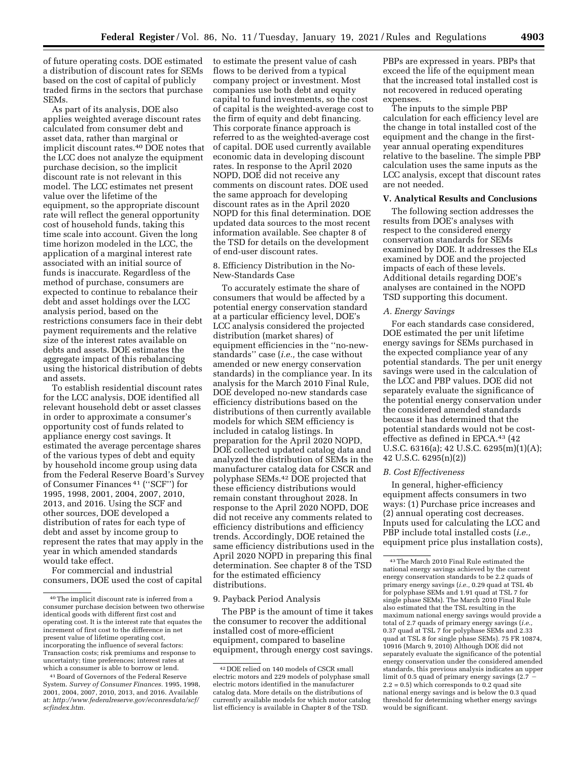of future operating costs. DOE estimated a distribution of discount rates for SEMs based on the cost of capital of publicly traded firms in the sectors that purchase SEMs.

As part of its analysis, DOE also applies weighted average discount rates calculated from consumer debt and asset data, rather than marginal or implicit discount rates.<sup>40</sup> DOE notes that the LCC does not analyze the equipment purchase decision, so the implicit discount rate is not relevant in this model. The LCC estimates net present value over the lifetime of the equipment, so the appropriate discount rate will reflect the general opportunity cost of household funds, taking this time scale into account. Given the long time horizon modeled in the LCC, the application of a marginal interest rate associated with an initial source of funds is inaccurate. Regardless of the method of purchase, consumers are expected to continue to rebalance their debt and asset holdings over the LCC analysis period, based on the restrictions consumers face in their debt payment requirements and the relative size of the interest rates available on debts and assets. DOE estimates the aggregate impact of this rebalancing using the historical distribution of debts and assets.

To establish residential discount rates for the LCC analysis, DOE identified all relevant household debt or asset classes in order to approximate a consumer's opportunity cost of funds related to appliance energy cost savings. It estimated the average percentage shares of the various types of debt and equity by household income group using data from the Federal Reserve Board's Survey of Consumer Finances 41 (''SCF'') for 1995, 1998, 2001, 2004, 2007, 2010, 2013, and 2016. Using the SCF and other sources, DOE developed a distribution of rates for each type of debt and asset by income group to represent the rates that may apply in the year in which amended standards would take effect.

For commercial and industrial consumers, DOE used the cost of capital to estimate the present value of cash flows to be derived from a typical company project or investment. Most companies use both debt and equity capital to fund investments, so the cost of capital is the weighted-average cost to the firm of equity and debt financing. This corporate finance approach is referred to as the weighted-average cost of capital. DOE used currently available economic data in developing discount rates. In response to the April 2020 NOPD, DOE did not receive any comments on discount rates. DOE used the same approach for developing discount rates as in the April 2020 NOPD for this final determination. DOE updated data sources to the most recent information available. See chapter 8 of the TSD for details on the development of end-user discount rates.

#### 8. Efficiency Distribution in the No-New-Standards Case

To accurately estimate the share of consumers that would be affected by a potential energy conservation standard at a particular efficiency level, DOE's LCC analysis considered the projected distribution (market shares) of equipment efficiencies in the ''no-newstandards'' case (*i.e.,* the case without amended or new energy conservation standards) in the compliance year. In its analysis for the March 2010 Final Rule, DOE developed no-new standards case efficiency distributions based on the distributions of then currently available models for which SEM efficiency is included in catalog listings. In preparation for the April 2020 NOPD, DOE collected updated catalog data and analyzed the distribution of SEMs in the manufacturer catalog data for CSCR and polyphase SEMs.42 DOE projected that these efficiency distributions would remain constant throughout 2028. In response to the April 2020 NOPD, DOE did not receive any comments related to efficiency distributions and efficiency trends. Accordingly, DOE retained the same efficiency distributions used in the April 2020 NOPD in preparing this final determination. See chapter 8 of the TSD for the estimated efficiency distributions.

#### 9. Payback Period Analysis

The PBP is the amount of time it takes the consumer to recover the additional installed cost of more-efficient equipment, compared to baseline equipment, through energy cost savings.

PBPs are expressed in years. PBPs that exceed the life of the equipment mean that the increased total installed cost is not recovered in reduced operating expenses.

The inputs to the simple PBP calculation for each efficiency level are the change in total installed cost of the equipment and the change in the firstyear annual operating expenditures relative to the baseline. The simple PBP calculation uses the same inputs as the LCC analysis, except that discount rates are not needed.

## **V. Analytical Results and Conclusions**

The following section addresses the results from DOE's analyses with respect to the considered energy conservation standards for SEMs examined by DOE. It addresses the ELs examined by DOE and the projected impacts of each of these levels. Additional details regarding DOE's analyses are contained in the NOPD TSD supporting this document.

#### *A. Energy Savings*

For each standards case considered, DOE estimated the per unit lifetime energy savings for SEMs purchased in the expected compliance year of any potential standards. The per unit energy savings were used in the calculation of the LCC and PBP values. DOE did not separately evaluate the significance of the potential energy conservation under the considered amended standards because it has determined that the potential standards would not be costeffective as defined in EPCA.43 (42 U.S.C. 6316(a); 42 U.S.C. 6295(m)(1)(A); 42 U.S.C. 6295(n)(2))

#### *B. Cost Effectiveness*

In general, higher-efficiency equipment affects consumers in two ways: (1) Purchase price increases and (2) annual operating cost decreases. Inputs used for calculating the LCC and PBP include total installed costs (*i.e.,*  equipment price plus installation costs),

<sup>40</sup>The implicit discount rate is inferred from a consumer purchase decision between two otherwise identical goods with different first cost and operating cost. It is the interest rate that equates the increment of first cost to the difference in net present value of lifetime operating cost, incorporating the influence of several factors: Transaction costs; risk premiums and response to uncertainty; time preferences; interest rates at which a consumer is able to borrow or lend.

<sup>41</sup>Board of Governors of the Federal Reserve System. *Survey of Consumer Finances.* 1995, 1998, 2001, 2004, 2007, 2010, 2013, and 2016. Available at: *[http://www.federalreserve.gov/econresdata/scf/](http://www.federalreserve.gov/econresdata/scf/scfindex.htm) [scfindex.htm.](http://www.federalreserve.gov/econresdata/scf/scfindex.htm)* 

<sup>42</sup> DOE relied on 140 models of CSCR small electric motors and 229 models of polyphase small electric motors identified in the manufacturer catalog data. More details on the distributions of currently available models for which motor catalog list efficiency is available in Chapter 8 of the TSD.

<sup>43</sup>The March 2010 Final Rule estimated the national energy savings achieved by the current energy conservation standards to be 2.2 quads of primary energy savings (*i.e.,* 0.29 quad at TSL 4b for polyphase SEMs and 1.91 quad at TSL 7 for single phase SEMs). The March 2010 Final Rule also estimated that the TSL resulting in the maximum national energy savings would provide a total of 2.7 quads of primary energy savings (*i.e.,*  0.37 quad at TSL 7 for polyphase SEMs and 2.33 quad at TSL 8 for single phase SEMs). 75 FR 10874, 10916 (March 9, 2010) Although DOE did not separately evaluate the significance of the potential energy conservation under the considered amended standards, this previous analysis indicates an upper limit of 0.5 quad of primary energy savings (2.7  $2.2 = 0.5$ ) which corresponds to 0.2 quad site national energy savings and is below the 0.3 quad threshold for determining whether energy savings would be significant.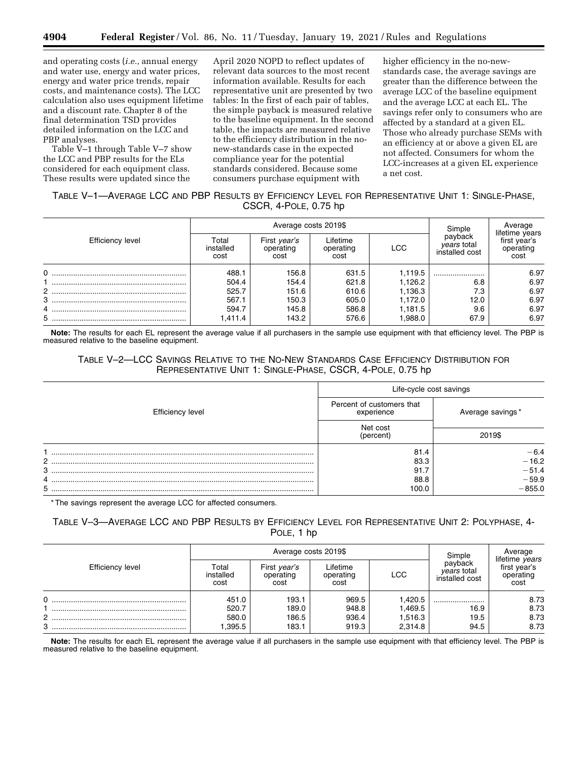and operating costs (*i.e.,* annual energy and water use, energy and water prices, energy and water price trends, repair costs, and maintenance costs). The LCC calculation also uses equipment lifetime and a discount rate. Chapter 8 of the final determination TSD provides detailed information on the LCC and PBP analyses.

Table V–1 through Table V–7 show the LCC and PBP results for the ELs considered for each equipment class. These results were updated since the

April 2020 NOPD to reflect updates of relevant data sources to the most recent information available. Results for each representative unit are presented by two tables: In the first of each pair of tables, the simple payback is measured relative to the baseline equipment. In the second table, the impacts are measured relative to the efficiency distribution in the nonew-standards case in the expected compliance year for the potential standards considered. Because some consumers purchase equipment with

higher efficiency in the no-newstandards case, the average savings are greater than the difference between the average LCC of the baseline equipment and the average LCC at each EL. The savings refer only to consumers who are affected by a standard at a given EL. Those who already purchase SEMs with an efficiency at or above a given EL are not affected. Consumers for whom the LCC-increases at a given EL experience a net cost.

# TABLE V–1—AVERAGE LCC AND PBP RESULTS BY EFFICIENCY LEVEL FOR REPRESENTATIVE UNIT 1: SINGLE-PHASE, CSCR, 4-POLE, 0.75 hp

|                  |                            | Average costs 2019\$              | Simple                        | Average    |                                                 |                                                     |
|------------------|----------------------------|-----------------------------------|-------------------------------|------------|-------------------------------------------------|-----------------------------------------------------|
| Efficiency level | Total<br>installed<br>cost | First year's<br>operating<br>cost | Lifetime<br>operating<br>cost | <b>LCC</b> | payback<br><i>vears</i> total<br>installed cost | lifetime years<br>first year's<br>operating<br>cost |
| 0                | 488.1                      | 156.8                             | 631.5                         | 1,119.5    |                                                 | 6.97                                                |
|                  | 504.4                      | 154.4                             | 621.8                         | 1,126.2    | 6.8                                             | 6.97                                                |
| 2                | 525.7                      | 151.6                             | 610.6                         | 1,136.3    | 7.3                                             | 6.97                                                |
| 3                | 567.1                      | 150.3                             | 605.0                         | 1.172.0    | 12.0                                            | 6.97                                                |
| 4                | 594.7                      | 145.8                             | 586.8                         | 1,181.5    | 9.6                                             | 6.97                                                |
| 5                | 411.4. ا                   | 143.2                             | 576.6                         | 1,988.0    | 67.9                                            | 6.97                                                |

**Note:** The results for each EL represent the average value if all purchasers in the sample use equipment with that efficiency level. The PBP is measured relative to the baseline equipment.

## TABLE V–2—LCC SAVINGS RELATIVE TO THE NO-NEW STANDARDS CASE EFFICIENCY DISTRIBUTION FOR REPRESENTATIVE UNIT 1: SINGLE-PHASE, CSCR, 4-POLE, 0.75 hp

|                      | Life-cycle cost savings                 |                            |  |  |
|----------------------|-----------------------------------------|----------------------------|--|--|
| Efficiency level     | Percent of customers that<br>experience | Average savings*<br>2019\$ |  |  |
|                      | Net cost<br>(percent)                   |                            |  |  |
|                      | 81.4                                    | $-6.4$                     |  |  |
| $\mathbf{2}^{\circ}$ | 83.3                                    | $-16.2$                    |  |  |
| 3                    | 91.7                                    | $-51.4$                    |  |  |
|                      | 88.8                                    | $-59.9$                    |  |  |
|                      | 100.0                                   | $-855.0$                   |  |  |

\* The savings represent the average LCC for affected consumers.

# TABLE V–3—AVERAGE LCC AND PBP RESULTS BY EFFICIENCY LEVEL FOR REPRESENTATIVE UNIT 2: POLYPHASE, 4- POLE, 1 hp

| Efficiency level |                            | Average costs 2019\$              | Simple                        | Average    |                                                 |                                                     |
|------------------|----------------------------|-----------------------------------|-------------------------------|------------|-------------------------------------------------|-----------------------------------------------------|
|                  | Total<br>installed<br>cost | First year's<br>operating<br>cost | Lifetime<br>operating<br>cost | <b>LCC</b> | payback<br><i>vears</i> total<br>installed cost | lifetime years<br>first year's<br>operating<br>cost |
|                  | 451.0                      | 193.1                             | 969.5                         | 1.420.5    |                                                 | 8.73                                                |
|                  | 520.7                      | 189.0                             | 948.8                         | 1,469.5    | 16.9                                            | 8.73                                                |
| ົ                | 580.0                      | 186.5                             | 936.4                         | 1,516.3    | 19.5                                            | 8.73                                                |
| 3                | ,395.5                     | 183.1                             | 919.3                         | 2.314.8    | 94.5                                            | 8.73                                                |

**Note:** The results for each EL represent the average value if all purchasers in the sample use equipment with that efficiency level. The PBP is measured relative to the baseline equipment.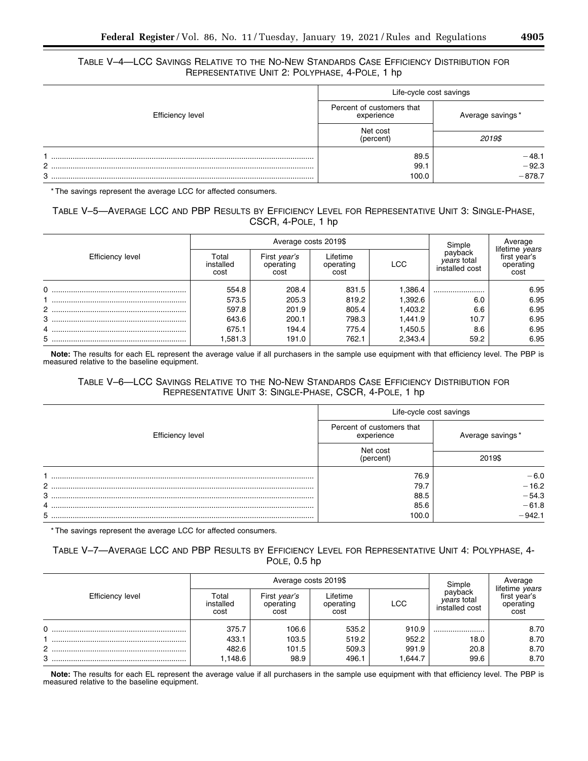## TABLE V–4—LCC SAVINGS RELATIVE TO THE NO-NEW STANDARDS CASE EFFICIENCY DISTRIBUTION FOR REPRESENTATIVE UNIT 2: POLYPHASE, 4-POLE, 1 hp

|                         |  | Life-cycle cost savings                 |                  |  |  |
|-------------------------|--|-----------------------------------------|------------------|--|--|
| <b>Efficiency level</b> |  | Percent of customers that<br>experience | Average savings* |  |  |
|                         |  | Net cost                                |                  |  |  |
|                         |  | (percent)                               | 2019\$           |  |  |
|                         |  | 89.5                                    | $-48.1$          |  |  |
| 2                       |  | 99.1                                    | $-92.3$          |  |  |
| 3                       |  | 100.0                                   | $-878.7$         |  |  |

\* The savings represent the average LCC for affected consumers.

# TABLE V–5—AVERAGE LCC AND PBP RESULTS BY EFFICIENCY LEVEL FOR REPRESENTATIVE UNIT 3: SINGLE-PHASE, CSCR, 4-POLE, 1 hp

|                  |                            | Average costs 2019\$              | Simple                        | Average |                                                 |                                                     |
|------------------|----------------------------|-----------------------------------|-------------------------------|---------|-------------------------------------------------|-----------------------------------------------------|
| Efficiency level | Гоtal<br>installed<br>cost | First year's<br>operating<br>cost | Lifetime<br>operating<br>cost | LCC     | payback<br><i>vears</i> total<br>installed cost | lifetime years<br>first year's<br>operating<br>cost |
| $\Omega$         | 554.8                      | 208.4                             | 831.5                         | 1.386.4 |                                                 | 6.95                                                |
|                  | 573.5                      | 205.3                             | 819.2                         | 1,392.6 | 6.0                                             | 6.95                                                |
| $2$              | 597.8                      | 201.9                             | 805.4                         | 1,403.2 | 6.6                                             | 6.95                                                |
|                  | 643.6                      | 200.1                             | 798.3                         | 1,441.9 | 10.7                                            | 6.95                                                |
|                  | 675.1                      | 194.4                             | 775.4                         | 1,450.5 | 8.6                                             | 6.95                                                |
|                  | 1,581.3                    | 191.0                             | 762.1                         | 2,343.4 | 59.2                                            | 6.95                                                |

**Note:** The results for each EL represent the average value if all purchasers in the sample use equipment with that efficiency level. The PBP is measured relative to the baseline equipment.

# TABLE V–6—LCC SAVINGS RELATIVE TO THE NO-NEW STANDARDS CASE EFFICIENCY DISTRIBUTION FOR REPRESENTATIVE UNIT 3: SINGLE-PHASE, CSCR, 4-POLE, 1 hp

|                  |                                         | Life-cycle cost savings |  |  |  |
|------------------|-----------------------------------------|-------------------------|--|--|--|
| Efficiency level | Percent of customers that<br>experience | Average savings*        |  |  |  |
|                  | Net cost<br>(percent)                   | 2019\$                  |  |  |  |
|                  | 76.9                                    | $-6.0$                  |  |  |  |
|                  | 79.7                                    | $-16.2$                 |  |  |  |
|                  | 88.5                                    | $-54.3$                 |  |  |  |
| 4                | 85.6                                    | $-61.8$                 |  |  |  |
| 5                | 100.0                                   | $-942.1$                |  |  |  |

\* The savings represent the average LCC for affected consumers.

# TABLE V–7—AVERAGE LCC AND PBP RESULTS BY EFFICIENCY LEVEL FOR REPRESENTATIVE UNIT 4: POLYPHASE, 4- POLE, 0.5 hp

| <b>Efficiency level</b> |                            | Average costs 2019\$              | Simple                        | Average    |                                                 |                                                     |
|-------------------------|----------------------------|-----------------------------------|-------------------------------|------------|-------------------------------------------------|-----------------------------------------------------|
|                         | Гоtal<br>installed<br>cost | First year's<br>operating<br>cost | Lifetime<br>operating<br>cost | <b>LCC</b> | payback<br><i>vears</i> total<br>installed cost | lifetime years<br>first year's<br>operating<br>cost |
|                         | 375.7                      | 106.6                             | 535.2                         | 910.9      |                                                 | 8.70                                                |
|                         | 433.1                      | 103.5                             | 519.2                         | 952.2      | 18.0                                            | 8.70                                                |
| 2                       | 482.6                      | 101.5                             | 509.3                         | 991.9      | 20.8                                            | 8.70                                                |
| 3                       | ,148.6                     | 98.9                              | 496.1                         | 1.644.7    | 99.6                                            | 8.70                                                |

**Note:** The results for each EL represent the average value if all purchasers in the sample use equipment with that efficiency level. The PBP is measured relative to the baseline equipment.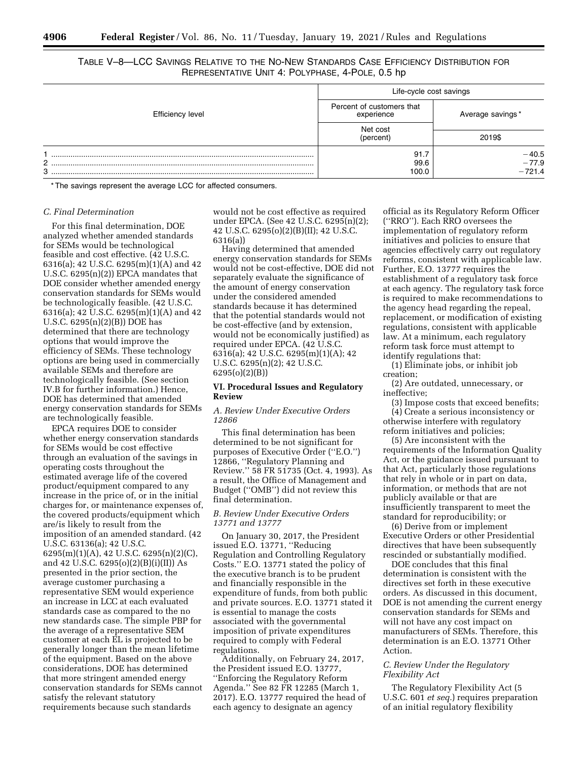REPRESENTATIVE UNIT 4: POLYPHASE, 4-POLE, 0.5 hp

Efficiency level Life-cycle cost savings Percent of customers that<br>experience Average savings \* Net cost (percent) 2019\$ 1 ........................................................................................................................... 91.7 ¥40.5 2 ........................................................................................................................... 99.6 ¥77.9 3 ........................................................................................................................... 100.0 ¥721.4

\* The savings represent the average LCC for affected consumers.

## *C. Final Determination*

For this final determination, DOE analyzed whether amended standards for SEMs would be technological feasible and cost effective. (42 U.S.C. 6316(a); 42 U.S.C. 6295(m)(1)(A) and 42 U.S.C. 6295(n)(2)) EPCA mandates that DOE consider whether amended energy conservation standards for SEMs would be technologically feasible. (42 U.S.C. 6316(a); 42 U.S.C. 6295(m)(1)(A) and 42 U.S.C. 6295(n)(2)(B)) DOE has determined that there are technology options that would improve the efficiency of SEMs. These technology options are being used in commercially available SEMs and therefore are technologically feasible. (See section IV.B for further information.) Hence, DOE has determined that amended energy conservation standards for SEMs are technologically feasible.

EPCA requires DOE to consider whether energy conservation standards for SEMs would be cost effective through an evaluation of the savings in operating costs throughout the estimated average life of the covered product/equipment compared to any increase in the price of, or in the initial charges for, or maintenance expenses of, the covered products/equipment which are/is likely to result from the imposition of an amended standard. (42 U.S.C. 63136(a); 42 U.S.C. 6295(m)(1)(A), 42 U.S.C. 6295(n)(2)(C), and 42 U.S.C. 6295(o)(2)(B)(i)(II)) As presented in the prior section, the average customer purchasing a representative SEM would experience an increase in LCC at each evaluated standards case as compared to the no new standards case. The simple PBP for the average of a representative SEM customer at each EL is projected to be generally longer than the mean lifetime of the equipment. Based on the above considerations, DOE has determined that more stringent amended energy conservation standards for SEMs cannot satisfy the relevant statutory requirements because such standards

would not be cost effective as required under EPCA. (See 42 U.S.C. 6295(n)(2); 42 U.S.C. 6295(o)(2)(B)(II); 42 U.S.C. 6316(a))

Having determined that amended energy conservation standards for SEMs would not be cost-effective, DOE did not separately evaluate the significance of the amount of energy conservation under the considered amended standards because it has determined that the potential standards would not be cost-effective (and by extension, would not be economically justified) as required under EPCA. (42 U.S.C. 6316(a); 42 U.S.C. 6295(m)(1)(A); 42 U.S.C. 6295(n)(2); 42 U.S.C. 6295(o)(2)(B))

#### **VI. Procedural Issues and Regulatory Review**

## *A. Review Under Executive Orders 12866*

This final determination has been determined to be not significant for purposes of Executive Order (''E.O.'') 12866, ''Regulatory Planning and Review.'' 58 FR 51735 (Oct. 4, 1993). As a result, the Office of Management and Budget (''OMB'') did not review this final determination.

## *B. Review Under Executive Orders 13771 and 13777*

On January 30, 2017, the President issued E.O. 13771, ''Reducing Regulation and Controlling Regulatory Costs.'' E.O. 13771 stated the policy of the executive branch is to be prudent and financially responsible in the expenditure of funds, from both public and private sources. E.O. 13771 stated it is essential to manage the costs associated with the governmental imposition of private expenditures required to comply with Federal regulations.

Additionally, on February 24, 2017, the President issued E.O. 13777, ''Enforcing the Regulatory Reform Agenda.'' See 82 FR 12285 (March 1, 2017). E.O. 13777 required the head of each agency to designate an agency

official as its Regulatory Reform Officer (''RRO''). Each RRO oversees the implementation of regulatory reform initiatives and policies to ensure that agencies effectively carry out regulatory reforms, consistent with applicable law. Further, E.O. 13777 requires the establishment of a regulatory task force at each agency. The regulatory task force is required to make recommendations to the agency head regarding the repeal, replacement, or modification of existing regulations, consistent with applicable law. At a minimum, each regulatory reform task force must attempt to identify regulations that:

(1) Eliminate jobs, or inhibit job creation;

(2) Are outdated, unnecessary, or ineffective;

(3) Impose costs that exceed benefits; (4) Create a serious inconsistency or otherwise interfere with regulatory reform initiatives and policies;

(5) Are inconsistent with the requirements of the Information Quality Act, or the guidance issued pursuant to that Act, particularly those regulations that rely in whole or in part on data, information, or methods that are not publicly available or that are insufficiently transparent to meet the standard for reproducibility; or

(6) Derive from or implement Executive Orders or other Presidential directives that have been subsequently rescinded or substantially modified.

DOE concludes that this final determination is consistent with the directives set forth in these executive orders. As discussed in this document, DOE is not amending the current energy conservation standards for SEMs and will not have any cost impact on manufacturers of SEMs. Therefore, this determination is an E.O. 13771 Other Action.

## *C. Review Under the Regulatory Flexibility Act*

The Regulatory Flexibility Act (5 U.S.C. 601 *et seq.*) requires preparation of an initial regulatory flexibility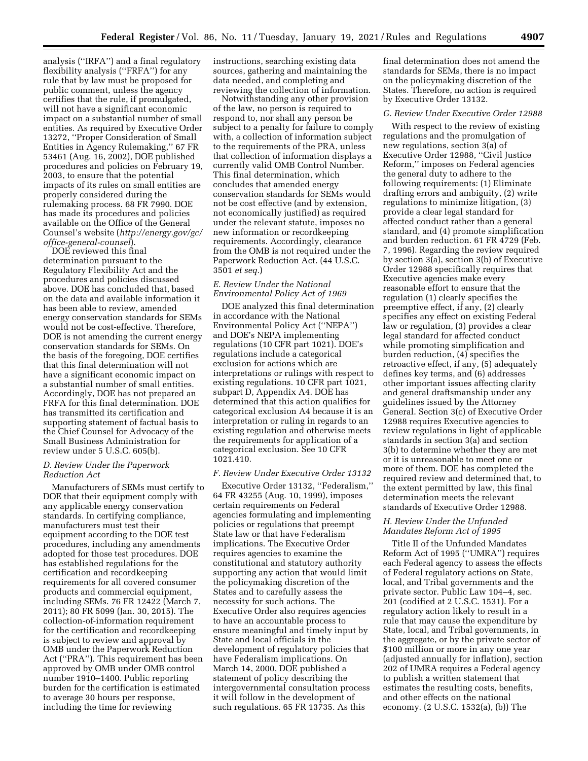analysis (''IRFA'') and a final regulatory flexibility analysis (''FRFA'') for any rule that by law must be proposed for public comment, unless the agency certifies that the rule, if promulgated, will not have a significant economic impact on a substantial number of small entities. As required by Executive Order 13272, ''Proper Consideration of Small Entities in Agency Rulemaking,'' 67 FR 53461 (Aug. 16, 2002), DOE published procedures and policies on February 19, 2003, to ensure that the potential impacts of its rules on small entities are properly considered during the rulemaking process. 68 FR 7990. DOE has made its procedures and policies available on the Office of the General Counsel's website (*[http://energy.gov/gc/](http://energy.gov/gc/office-general-counsel)  [office-general-counsel](http://energy.gov/gc/office-general-counsel)*).

DOE reviewed this final determination pursuant to the Regulatory Flexibility Act and the procedures and policies discussed above. DOE has concluded that, based on the data and available information it has been able to review, amended energy conservation standards for SEMs would not be cost-effective. Therefore, DOE is not amending the current energy conservation standards for SEMs. On the basis of the foregoing, DOE certifies that this final determination will not have a significant economic impact on a substantial number of small entities. Accordingly, DOE has not prepared an FRFA for this final determination. DOE has transmitted its certification and supporting statement of factual basis to the Chief Counsel for Advocacy of the Small Business Administration for review under 5 U.S.C. 605(b).

## *D. Review Under the Paperwork Reduction Act*

Manufacturers of SEMs must certify to DOE that their equipment comply with any applicable energy conservation standards. In certifying compliance, manufacturers must test their equipment according to the DOE test procedures, including any amendments adopted for those test procedures. DOE has established regulations for the certification and recordkeeping requirements for all covered consumer products and commercial equipment, including SEMs. 76 FR 12422 (March 7, 2011); 80 FR 5099 (Jan. 30, 2015). The collection-of-information requirement for the certification and recordkeeping is subject to review and approval by OMB under the Paperwork Reduction Act (''PRA''). This requirement has been approved by OMB under OMB control number 1910–1400. Public reporting burden for the certification is estimated to average 30 hours per response, including the time for reviewing

instructions, searching existing data sources, gathering and maintaining the data needed, and completing and reviewing the collection of information.

Notwithstanding any other provision of the law, no person is required to respond to, nor shall any person be subject to a penalty for failure to comply with, a collection of information subject to the requirements of the PRA, unless that collection of information displays a currently valid OMB Control Number. This final determination, which concludes that amended energy conservation standards for SEMs would not be cost effective (and by extension, not economically justified) as required under the relevant statute, imposes no new information or recordkeeping requirements. Accordingly, clearance from the OMB is not required under the Paperwork Reduction Act. (44 U.S.C. 3501 *et seq.*)

## *E. Review Under the National Environmental Policy Act of 1969*

DOE analyzed this final determination in accordance with the National Environmental Policy Act (''NEPA'') and DOE's NEPA implementing regulations (10 CFR part 1021). DOE's regulations include a categorical exclusion for actions which are interpretations or rulings with respect to existing regulations. 10 CFR part 1021, subpart D, Appendix A4. DOE has determined that this action qualifies for categorical exclusion A4 because it is an interpretation or ruling in regards to an existing regulation and otherwise meets the requirements for application of a categorical exclusion. See 10 CFR 1021.410.

#### *F. Review Under Executive Order 13132*

Executive Order 13132, ''Federalism,'' 64 FR 43255 (Aug. 10, 1999), imposes certain requirements on Federal agencies formulating and implementing policies or regulations that preempt State law or that have Federalism implications. The Executive Order requires agencies to examine the constitutional and statutory authority supporting any action that would limit the policymaking discretion of the States and to carefully assess the necessity for such actions. The Executive Order also requires agencies to have an accountable process to ensure meaningful and timely input by State and local officials in the development of regulatory policies that have Federalism implications. On March 14, 2000, DOE published a statement of policy describing the intergovernmental consultation process it will follow in the development of such regulations. 65 FR 13735. As this

final determination does not amend the standards for SEMs, there is no impact on the policymaking discretion of the States. Therefore, no action is required by Executive Order 13132.

## *G. Review Under Executive Order 12988*

With respect to the review of existing regulations and the promulgation of new regulations, section 3(a) of Executive Order 12988, ''Civil Justice Reform,'' imposes on Federal agencies the general duty to adhere to the following requirements: (1) Eliminate drafting errors and ambiguity, (2) write regulations to minimize litigation, (3) provide a clear legal standard for affected conduct rather than a general standard, and (4) promote simplification and burden reduction. 61 FR 4729 (Feb. 7, 1996). Regarding the review required by section 3(a), section 3(b) of Executive Order 12988 specifically requires that Executive agencies make every reasonable effort to ensure that the regulation (1) clearly specifies the preemptive effect, if any, (2) clearly specifies any effect on existing Federal law or regulation, (3) provides a clear legal standard for affected conduct while promoting simplification and burden reduction, (4) specifies the retroactive effect, if any, (5) adequately defines key terms, and (6) addresses other important issues affecting clarity and general draftsmanship under any guidelines issued by the Attorney General. Section 3(c) of Executive Order 12988 requires Executive agencies to review regulations in light of applicable standards in section 3(a) and section 3(b) to determine whether they are met or it is unreasonable to meet one or more of them. DOE has completed the required review and determined that, to the extent permitted by law, this final determination meets the relevant standards of Executive Order 12988.

## *H. Review Under the Unfunded Mandates Reform Act of 1995*

Title II of the Unfunded Mandates Reform Act of 1995 (''UMRA'') requires each Federal agency to assess the effects of Federal regulatory actions on State, local, and Tribal governments and the private sector. Public Law 104–4, sec. 201 (codified at 2 U.S.C. 1531). For a regulatory action likely to result in a rule that may cause the expenditure by State, local, and Tribal governments, in the aggregate, or by the private sector of \$100 million or more in any one year (adjusted annually for inflation), section 202 of UMRA requires a Federal agency to publish a written statement that estimates the resulting costs, benefits, and other effects on the national economy. (2 U.S.C. 1532(a), (b)) The